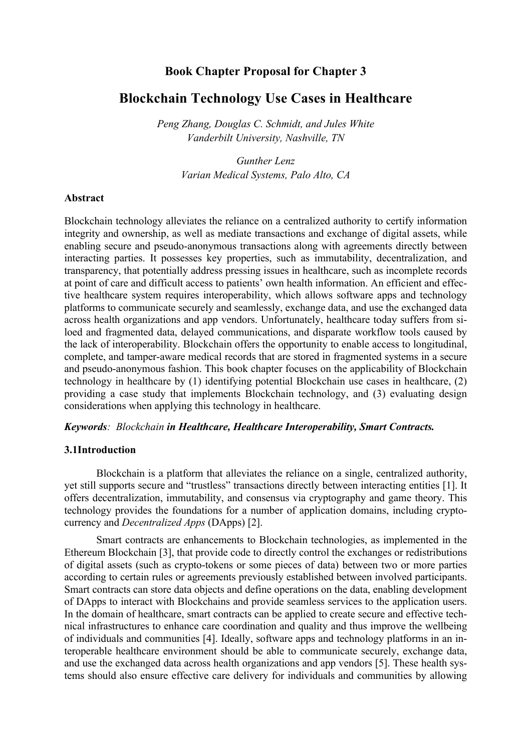# **Book Chapter Proposal for Chapter 3**

# **Blockchain Technology Use Cases in Healthcare**

*Peng Zhang, Douglas C. Schmidt, and Jules White Vanderbilt University, Nashville, TN*

> *Gunther Lenz Varian Medical Systems, Palo Alto, CA*

#### **Abstract**

Blockchain technology alleviates the reliance on a centralized authority to certify information integrity and ownership, as well as mediate transactions and exchange of digital assets, while enabling secure and pseudo-anonymous transactions along with agreements directly between interacting parties. It possesses key properties, such as immutability, decentralization, and transparency, that potentially address pressing issues in healthcare, such as incomplete records at point of care and difficult access to patients' own health information. An efficient and effective healthcare system requires interoperability, which allows software apps and technology platforms to communicate securely and seamlessly, exchange data, and use the exchanged data across health organizations and app vendors. Unfortunately, healthcare today suffers from siloed and fragmented data, delayed communications, and disparate workflow tools caused by the lack of interoperability. Blockchain offers the opportunity to enable access to longitudinal, complete, and tamper-aware medical records that are stored in fragmented systems in a secure and pseudo-anonymous fashion. This book chapter focuses on the applicability of Blockchain technology in healthcare by (1) identifying potential Blockchain use cases in healthcare, (2) providing a case study that implements Blockchain technology, and (3) evaluating design considerations when applying this technology in healthcare.

#### *Keywords: Blockchain in Healthcare, Healthcare Interoperability, Smart Contracts.*

#### **3.1Introduction**

Blockchain is a platform that alleviates the reliance on a single, centralized authority, yet still supports secure and "trustless" transactions directly between interacting entities [1]. It offers decentralization, immutability, and consensus via cryptography and game theory. This technology provides the foundations for a number of application domains, including cryptocurrency and *Decentralized Apps* (DApps) [2].

Smart contracts are enhancements to Blockchain technologies, as implemented in the Ethereum Blockchain [3], that provide code to directly control the exchanges or redistributions of digital assets (such as crypto-tokens or some pieces of data) between two or more parties according to certain rules or agreements previously established between involved participants. Smart contracts can store data objects and define operations on the data, enabling development of DApps to interact with Blockchains and provide seamless services to the application users. In the domain of healthcare, smart contracts can be applied to create secure and effective technical infrastructures to enhance care coordination and quality and thus improve the wellbeing of individuals and communities [4]. Ideally, software apps and technology platforms in an interoperable healthcare environment should be able to communicate securely, exchange data, and use the exchanged data across health organizations and app vendors [5]. These health systems should also ensure effective care delivery for individuals and communities by allowing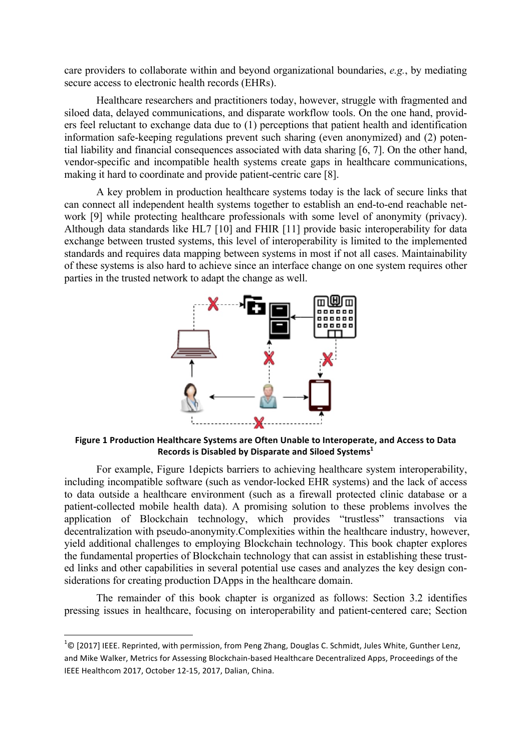care providers to collaborate within and beyond organizational boundaries, *e.g.*, by mediating secure access to electronic health records (EHRs).

Healthcare researchers and practitioners today, however, struggle with fragmented and siloed data, delayed communications, and disparate workflow tools. On the one hand, providers feel reluctant to exchange data due to (1) perceptions that patient health and identification information safe-keeping regulations prevent such sharing (even anonymized) and (2) potential liability and financial consequences associated with data sharing [6, 7]. On the other hand, vendor-specific and incompatible health systems create gaps in healthcare communications, making it hard to coordinate and provide patient-centric care [8].

A key problem in production healthcare systems today is the lack of secure links that can connect all independent health systems together to establish an end-to-end reachable network [9] while protecting healthcare professionals with some level of anonymity (privacy). Although data standards like HL7 [10] and FHIR [11] provide basic interoperability for data exchange between trusted systems, this level of interoperability is limited to the implemented standards and requires data mapping between systems in most if not all cases. Maintainability of these systems is also hard to achieve since an interface change on one system requires other parties in the trusted network to adapt the change as well.



Figure 1 Production Healthcare Systems are Often Unable to Interoperate, and Access to Data **Records is Disabled by Disparate and Siloed Systems<sup>1</sup>** 

For example, Figure 1depicts barriers to achieving healthcare system interoperability, including incompatible software (such as vendor-locked EHR systems) and the lack of access to data outside a healthcare environment (such as a firewall protected clinic database or a patient-collected mobile health data). A promising solution to these problems involves the application of Blockchain technology, which provides "trustless" transactions via decentralization with pseudo-anonymity.Complexities within the healthcare industry, however, yield additional challenges to employing Blockchain technology. This book chapter explores the fundamental properties of Blockchain technology that can assist in establishing these trusted links and other capabilities in several potential use cases and analyzes the key design considerations for creating production DApps in the healthcare domain.

The remainder of this book chapter is organized as follows: Section 3.2 identifies pressing issues in healthcare, focusing on interoperability and patient-centered care; Section

<u> 1989 - Johann Stein, mars an de Brandenburg (b. 1989)</u>

 $^1$ © [2017] IEEE. Reprinted, with permission, from Peng Zhang, Douglas C. Schmidt, Jules White, Gunther Lenz, and Mike Walker, Metrics for Assessing Blockchain-based Healthcare Decentralized Apps, Proceedings of the IEEE Healthcom 2017, October 12-15, 2017, Dalian, China.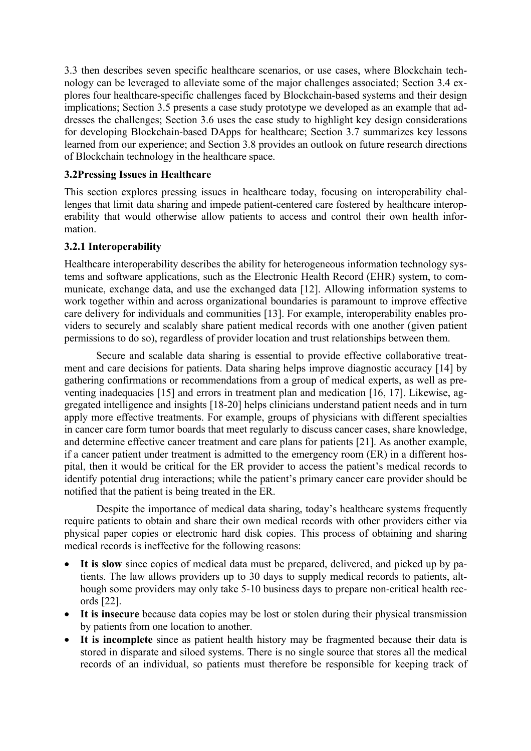3.3 then describes seven specific healthcare scenarios, or use cases, where Blockchain technology can be leveraged to alleviate some of the major challenges associated; Section 3.4 explores four healthcare-specific challenges faced by Blockchain-based systems and their design implications; Section 3.5 presents a case study prototype we developed as an example that addresses the challenges; Section 3.6 uses the case study to highlight key design considerations for developing Blockchain-based DApps for healthcare; Section 3.7 summarizes key lessons learned from our experience; and Section 3.8 provides an outlook on future research directions of Blockchain technology in the healthcare space.

# **3.2Pressing Issues in Healthcare**

This section explores pressing issues in healthcare today, focusing on interoperability challenges that limit data sharing and impede patient-centered care fostered by healthcare interoperability that would otherwise allow patients to access and control their own health information.

# **3.2.1 Interoperability**

Healthcare interoperability describes the ability for heterogeneous information technology systems and software applications, such as the Electronic Health Record (EHR) system, to communicate, exchange data, and use the exchanged data [12]. Allowing information systems to work together within and across organizational boundaries is paramount to improve effective care delivery for individuals and communities [13]. For example, interoperability enables providers to securely and scalably share patient medical records with one another (given patient permissions to do so), regardless of provider location and trust relationships between them.

Secure and scalable data sharing is essential to provide effective collaborative treatment and care decisions for patients. Data sharing helps improve diagnostic accuracy [14] by gathering confirmations or recommendations from a group of medical experts, as well as preventing inadequacies [15] and errors in treatment plan and medication [16, 17]. Likewise, aggregated intelligence and insights [18-20] helps clinicians understand patient needs and in turn apply more effective treatments. For example, groups of physicians with different specialties in cancer care form tumor boards that meet regularly to discuss cancer cases, share knowledge, and determine effective cancer treatment and care plans for patients [21]. As another example, if a cancer patient under treatment is admitted to the emergency room (ER) in a different hospital, then it would be critical for the ER provider to access the patient's medical records to identify potential drug interactions; while the patient's primary cancer care provider should be notified that the patient is being treated in the ER.

Despite the importance of medical data sharing, today's healthcare systems frequently require patients to obtain and share their own medical records with other providers either via physical paper copies or electronic hard disk copies. This process of obtaining and sharing medical records is ineffective for the following reasons:

- **It is slow** since copies of medical data must be prepared, delivered, and picked up by patients. The law allows providers up to 30 days to supply medical records to patients, although some providers may only take 5-10 business days to prepare non-critical health records [22].
- **It is insecure** because data copies may be lost or stolen during their physical transmission by patients from one location to another.
- **It is incomplete** since as patient health history may be fragmented because their data is stored in disparate and siloed systems. There is no single source that stores all the medical records of an individual, so patients must therefore be responsible for keeping track of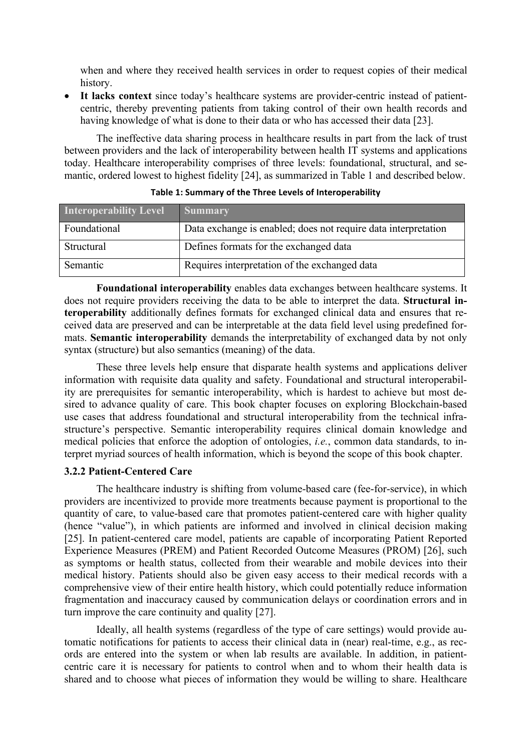when and where they received health services in order to request copies of their medical history.

• **It lacks context** since today's healthcare systems are provider-centric instead of patientcentric, thereby preventing patients from taking control of their own health records and having knowledge of what is done to their data or who has accessed their data [23].

The ineffective data sharing process in healthcare results in part from the lack of trust between providers and the lack of interoperability between health IT systems and applications today. Healthcare interoperability comprises of three levels: foundational, structural, and semantic, ordered lowest to highest fidelity [24], as summarized in Table 1 and described below.

| <b>Interoperability Level</b> | <b>Summary</b>                                                 |
|-------------------------------|----------------------------------------------------------------|
| Foundational                  | Data exchange is enabled; does not require data interpretation |
| Structural                    | Defines formats for the exchanged data                         |
| Semantic                      | Requires interpretation of the exchanged data                  |

Table 1: Summary of the Three Levels of Interoperability

**Foundational interoperability** enables data exchanges between healthcare systems. It does not require providers receiving the data to be able to interpret the data. **Structural interoperability** additionally defines formats for exchanged clinical data and ensures that received data are preserved and can be interpretable at the data field level using predefined formats. **Semantic interoperability** demands the interpretability of exchanged data by not only syntax (structure) but also semantics (meaning) of the data.

These three levels help ensure that disparate health systems and applications deliver information with requisite data quality and safety. Foundational and structural interoperability are prerequisites for semantic interoperability, which is hardest to achieve but most desired to advance quality of care. This book chapter focuses on exploring Blockchain-based use cases that address foundational and structural interoperability from the technical infrastructure's perspective. Semantic interoperability requires clinical domain knowledge and medical policies that enforce the adoption of ontologies, *i.e.*, common data standards, to interpret myriad sources of health information, which is beyond the scope of this book chapter.

#### **3.2.2 Patient-Centered Care**

The healthcare industry is shifting from volume-based care (fee-for-service), in which providers are incentivized to provide more treatments because payment is proportional to the quantity of care, to value-based care that promotes patient-centered care with higher quality (hence "value"), in which patients are informed and involved in clinical decision making [25]. In patient-centered care model, patients are capable of incorporating Patient Reported Experience Measures (PREM) and Patient Recorded Outcome Measures (PROM) [26], such as symptoms or health status, collected from their wearable and mobile devices into their medical history. Patients should also be given easy access to their medical records with a comprehensive view of their entire health history, which could potentially reduce information fragmentation and inaccuracy caused by communication delays or coordination errors and in turn improve the care continuity and quality [27].

Ideally, all health systems (regardless of the type of care settings) would provide automatic notifications for patients to access their clinical data in (near) real-time, e.g., as records are entered into the system or when lab results are available. In addition, in patientcentric care it is necessary for patients to control when and to whom their health data is shared and to choose what pieces of information they would be willing to share. Healthcare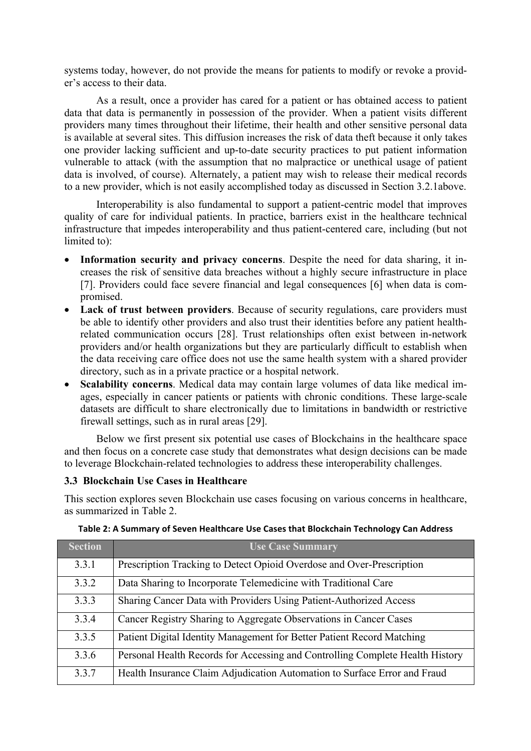systems today, however, do not provide the means for patients to modify or revoke a provider's access to their data.

As a result, once a provider has cared for a patient or has obtained access to patient data that data is permanently in possession of the provider. When a patient visits different providers many times throughout their lifetime, their health and other sensitive personal data is available at several sites. This diffusion increases the risk of data theft because it only takes one provider lacking sufficient and up-to-date security practices to put patient information vulnerable to attack (with the assumption that no malpractice or unethical usage of patient data is involved, of course). Alternately, a patient may wish to release their medical records to a new provider, which is not easily accomplished today as discussed in Section 3.2.1above.

Interoperability is also fundamental to support a patient-centric model that improves quality of care for individual patients. In practice, barriers exist in the healthcare technical infrastructure that impedes interoperability and thus patient-centered care, including (but not limited to):

- **Information security and privacy concerns**. Despite the need for data sharing, it increases the risk of sensitive data breaches without a highly secure infrastructure in place [7]. Providers could face severe financial and legal consequences [6] when data is compromised.
- **Lack of trust between providers**. Because of security regulations, care providers must be able to identify other providers and also trust their identities before any patient healthrelated communication occurs [28]. Trust relationships often exist between in-network providers and/or health organizations but they are particularly difficult to establish when the data receiving care office does not use the same health system with a shared provider directory, such as in a private practice or a hospital network.
- **Scalability concerns**. Medical data may contain large volumes of data like medical images, especially in cancer patients or patients with chronic conditions. These large-scale datasets are difficult to share electronically due to limitations in bandwidth or restrictive firewall settings, such as in rural areas [29].

Below we first present six potential use cases of Blockchains in the healthcare space and then focus on a concrete case study that demonstrates what design decisions can be made to leverage Blockchain-related technologies to address these interoperability challenges.

#### **3.3 Blockchain Use Cases in Healthcare**

This section explores seven Blockchain use cases focusing on various concerns in healthcare, as summarized in Table 2.

| <b>Section</b> | <b>Use Case Summary</b>                                                       |  |
|----------------|-------------------------------------------------------------------------------|--|
| 3.3.1          | Prescription Tracking to Detect Opioid Overdose and Over-Prescription         |  |
| 3.3.2          | Data Sharing to Incorporate Telemedicine with Traditional Care                |  |
| 3.3.3          | Sharing Cancer Data with Providers Using Patient-Authorized Access            |  |
| 3.3.4          | Cancer Registry Sharing to Aggregate Observations in Cancer Cases             |  |
| 3.3.5          | Patient Digital Identity Management for Better Patient Record Matching        |  |
| 3.3.6          | Personal Health Records for Accessing and Controlling Complete Health History |  |
| 3.3.7          | Health Insurance Claim Adjudication Automation to Surface Error and Fraud     |  |

|  | Table 2: A Summary of Seven Healthcare Use Cases that Blockchain Technology Can Address |
|--|-----------------------------------------------------------------------------------------|
|--|-----------------------------------------------------------------------------------------|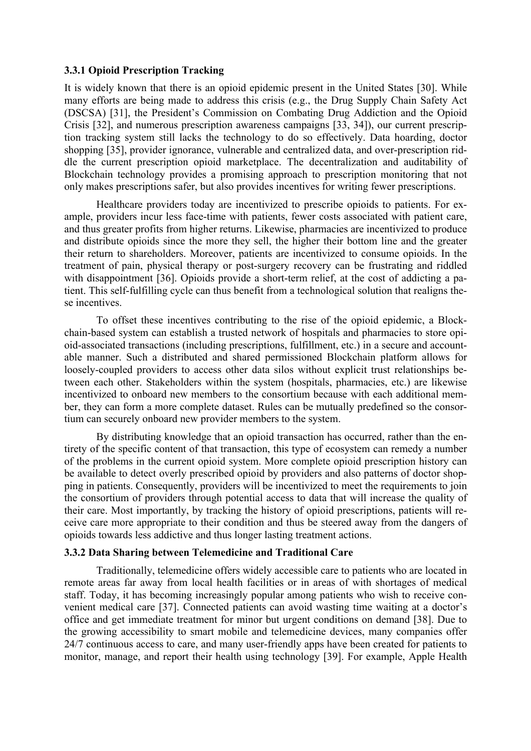#### **3.3.1 Opioid Prescription Tracking**

It is widely known that there is an opioid epidemic present in the United States [30]. While many efforts are being made to address this crisis (e.g., the Drug Supply Chain Safety Act (DSCSA) [31], the President's Commission on Combating Drug Addiction and the Opioid Crisis [32], and numerous prescription awareness campaigns [33, 34]), our current prescription tracking system still lacks the technology to do so effectively. Data hoarding, doctor shopping [35], provider ignorance, vulnerable and centralized data, and over-prescription riddle the current prescription opioid marketplace. The decentralization and auditability of Blockchain technology provides a promising approach to prescription monitoring that not only makes prescriptions safer, but also provides incentives for writing fewer prescriptions.

Healthcare providers today are incentivized to prescribe opioids to patients. For example, providers incur less face-time with patients, fewer costs associated with patient care, and thus greater profits from higher returns. Likewise, pharmacies are incentivized to produce and distribute opioids since the more they sell, the higher their bottom line and the greater their return to shareholders. Moreover, patients are incentivized to consume opioids. In the treatment of pain, physical therapy or post-surgery recovery can be frustrating and riddled with disappointment [36]. Opioids provide a short-term relief, at the cost of addicting a patient. This self-fulfilling cycle can thus benefit from a technological solution that realigns these incentives.

To offset these incentives contributing to the rise of the opioid epidemic, a Blockchain-based system can establish a trusted network of hospitals and pharmacies to store opioid-associated transactions (including prescriptions, fulfillment, etc.) in a secure and accountable manner. Such a distributed and shared permissioned Blockchain platform allows for loosely-coupled providers to access other data silos without explicit trust relationships between each other. Stakeholders within the system (hospitals, pharmacies, etc.) are likewise incentivized to onboard new members to the consortium because with each additional member, they can form a more complete dataset. Rules can be mutually predefined so the consortium can securely onboard new provider members to the system.

By distributing knowledge that an opioid transaction has occurred, rather than the entirety of the specific content of that transaction, this type of ecosystem can remedy a number of the problems in the current opioid system. More complete opioid prescription history can be available to detect overly prescribed opioid by providers and also patterns of doctor shopping in patients. Consequently, providers will be incentivized to meet the requirements to join the consortium of providers through potential access to data that will increase the quality of their care. Most importantly, by tracking the history of opioid prescriptions, patients will receive care more appropriate to their condition and thus be steered away from the dangers of opioids towards less addictive and thus longer lasting treatment actions.

#### **3.3.2 Data Sharing between Telemedicine and Traditional Care**

Traditionally, telemedicine offers widely accessible care to patients who are located in remote areas far away from local health facilities or in areas of with shortages of medical staff. Today, it has becoming increasingly popular among patients who wish to receive convenient medical care [37]. Connected patients can avoid wasting time waiting at a doctor's office and get immediate treatment for minor but urgent conditions on demand [38]. Due to the growing accessibility to smart mobile and telemedicine devices, many companies offer 24/7 continuous access to care, and many user-friendly apps have been created for patients to monitor, manage, and report their health using technology [39]. For example, Apple Health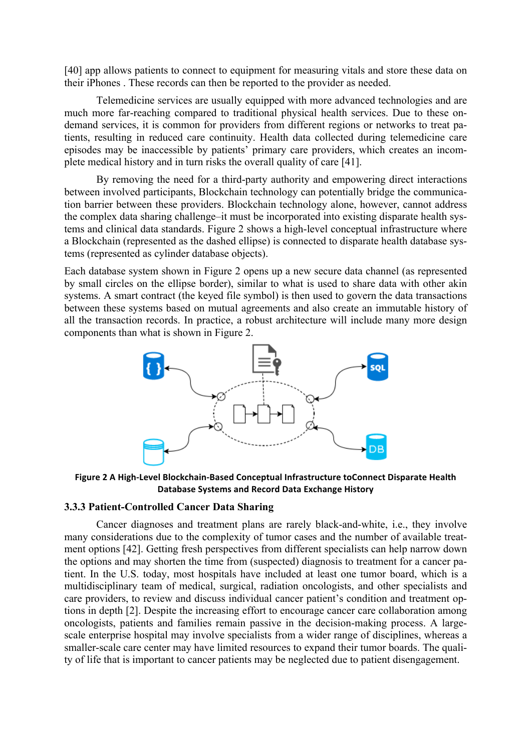[40] app allows patients to connect to equipment for measuring vitals and store these data on their iPhones . These records can then be reported to the provider as needed.

Telemedicine services are usually equipped with more advanced technologies and are much more far-reaching compared to traditional physical health services. Due to these ondemand services, it is common for providers from different regions or networks to treat patients, resulting in reduced care continuity. Health data collected during telemedicine care episodes may be inaccessible by patients' primary care providers, which creates an incomplete medical history and in turn risks the overall quality of care [41].

By removing the need for a third-party authority and empowering direct interactions between involved participants, Blockchain technology can potentially bridge the communication barrier between these providers. Blockchain technology alone, however, cannot address the complex data sharing challenge–it must be incorporated into existing disparate health systems and clinical data standards. Figure 2 shows a high-level conceptual infrastructure where a Blockchain (represented as the dashed ellipse) is connected to disparate health database systems (represented as cylinder database objects).

Each database system shown in Figure 2 opens up a new secure data channel (as represented by small circles on the ellipse border), similar to what is used to share data with other akin systems. A smart contract (the keyed file symbol) is then used to govern the data transactions between these systems based on mutual agreements and also create an immutable history of all the transaction records. In practice, a robust architecture will include many more design components than what is shown in Figure 2.



**Figure 2 A High-Level Blockchain-Based Conceptual Infrastructure toConnect Disparate Health Database Systems and Record Data Exchange History**

#### **3.3.3 Patient-Controlled Cancer Data Sharing**

Cancer diagnoses and treatment plans are rarely black-and-white, i.e., they involve many considerations due to the complexity of tumor cases and the number of available treatment options [42]. Getting fresh perspectives from different specialists can help narrow down the options and may shorten the time from (suspected) diagnosis to treatment for a cancer patient. In the U.S. today, most hospitals have included at least one tumor board, which is a multidisciplinary team of medical, surgical, radiation oncologists, and other specialists and care providers, to review and discuss individual cancer patient's condition and treatment options in depth [2]. Despite the increasing effort to encourage cancer care collaboration among oncologists, patients and families remain passive in the decision-making process. A largescale enterprise hospital may involve specialists from a wider range of disciplines, whereas a smaller-scale care center may have limited resources to expand their tumor boards. The quality of life that is important to cancer patients may be neglected due to patient disengagement.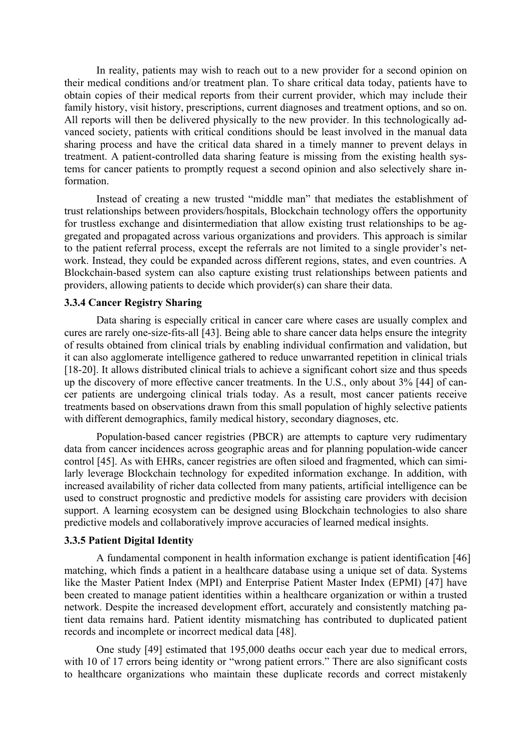In reality, patients may wish to reach out to a new provider for a second opinion on their medical conditions and/or treatment plan. To share critical data today, patients have to obtain copies of their medical reports from their current provider, which may include their family history, visit history, prescriptions, current diagnoses and treatment options, and so on. All reports will then be delivered physically to the new provider. In this technologically advanced society, patients with critical conditions should be least involved in the manual data sharing process and have the critical data shared in a timely manner to prevent delays in treatment. A patient-controlled data sharing feature is missing from the existing health systems for cancer patients to promptly request a second opinion and also selectively share information.

Instead of creating a new trusted "middle man" that mediates the establishment of trust relationships between providers/hospitals, Blockchain technology offers the opportunity for trustless exchange and disintermediation that allow existing trust relationships to be aggregated and propagated across various organizations and providers. This approach is similar to the patient referral process, except the referrals are not limited to a single provider's network. Instead, they could be expanded across different regions, states, and even countries. A Blockchain-based system can also capture existing trust relationships between patients and providers, allowing patients to decide which provider(s) can share their data.

#### **3.3.4 Cancer Registry Sharing**

Data sharing is especially critical in cancer care where cases are usually complex and cures are rarely one-size-fits-all [43]. Being able to share cancer data helps ensure the integrity of results obtained from clinical trials by enabling individual confirmation and validation, but it can also agglomerate intelligence gathered to reduce unwarranted repetition in clinical trials [18-20]. It allows distributed clinical trials to achieve a significant cohort size and thus speeds up the discovery of more effective cancer treatments. In the U.S., only about 3% [44] of cancer patients are undergoing clinical trials today. As a result, most cancer patients receive treatments based on observations drawn from this small population of highly selective patients with different demographics, family medical history, secondary diagnoses, etc.

Population-based cancer registries (PBCR) are attempts to capture very rudimentary data from cancer incidences across geographic areas and for planning population-wide cancer control [45]. As with EHRs, cancer registries are often siloed and fragmented, which can similarly leverage Blockchain technology for expedited information exchange. In addition, with increased availability of richer data collected from many patients, artificial intelligence can be used to construct prognostic and predictive models for assisting care providers with decision support. A learning ecosystem can be designed using Blockchain technologies to also share predictive models and collaboratively improve accuracies of learned medical insights.

#### **3.3.5 Patient Digital Identity**

A fundamental component in health information exchange is patient identification [46] matching, which finds a patient in a healthcare database using a unique set of data. Systems like the Master Patient Index (MPI) and Enterprise Patient Master Index (EPMI) [47] have been created to manage patient identities within a healthcare organization or within a trusted network. Despite the increased development effort, accurately and consistently matching patient data remains hard. Patient identity mismatching has contributed to duplicated patient records and incomplete or incorrect medical data [48].

One study [49] estimated that 195,000 deaths occur each year due to medical errors, with 10 of 17 errors being identity or "wrong patient errors." There are also significant costs to healthcare organizations who maintain these duplicate records and correct mistakenly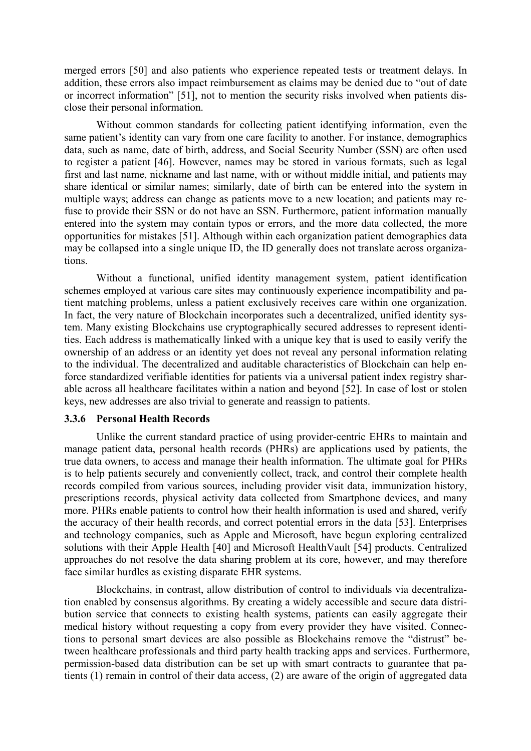merged errors [50] and also patients who experience repeated tests or treatment delays. In addition, these errors also impact reimbursement as claims may be denied due to "out of date or incorrect information" [51], not to mention the security risks involved when patients disclose their personal information.

Without common standards for collecting patient identifying information, even the same patient's identity can vary from one care facility to another. For instance, demographics data, such as name, date of birth, address, and Social Security Number (SSN) are often used to register a patient [46]. However, names may be stored in various formats, such as legal first and last name, nickname and last name, with or without middle initial, and patients may share identical or similar names; similarly, date of birth can be entered into the system in multiple ways; address can change as patients move to a new location; and patients may refuse to provide their SSN or do not have an SSN. Furthermore, patient information manually entered into the system may contain typos or errors, and the more data collected, the more opportunities for mistakes [51]. Although within each organization patient demographics data may be collapsed into a single unique ID, the ID generally does not translate across organizations.

Without a functional, unified identity management system, patient identification schemes employed at various care sites may continuously experience incompatibility and patient matching problems, unless a patient exclusively receives care within one organization. In fact, the very nature of Blockchain incorporates such a decentralized, unified identity system. Many existing Blockchains use cryptographically secured addresses to represent identities. Each address is mathematically linked with a unique key that is used to easily verify the ownership of an address or an identity yet does not reveal any personal information relating to the individual. The decentralized and auditable characteristics of Blockchain can help enforce standardized verifiable identities for patients via a universal patient index registry sharable across all healthcare facilitates within a nation and beyond [52]. In case of lost or stolen keys, new addresses are also trivial to generate and reassign to patients.

#### **3.3.6 Personal Health Records**

Unlike the current standard practice of using provider-centric EHRs to maintain and manage patient data, personal health records (PHRs) are applications used by patients, the true data owners, to access and manage their health information. The ultimate goal for PHRs is to help patients securely and conveniently collect, track, and control their complete health records compiled from various sources, including provider visit data, immunization history, prescriptions records, physical activity data collected from Smartphone devices, and many more. PHRs enable patients to control how their health information is used and shared, verify the accuracy of their health records, and correct potential errors in the data [53]. Enterprises and technology companies, such as Apple and Microsoft, have begun exploring centralized solutions with their Apple Health [40] and Microsoft HealthVault [54] products. Centralized approaches do not resolve the data sharing problem at its core, however, and may therefore face similar hurdles as existing disparate EHR systems.

Blockchains, in contrast, allow distribution of control to individuals via decentralization enabled by consensus algorithms. By creating a widely accessible and secure data distribution service that connects to existing health systems, patients can easily aggregate their medical history without requesting a copy from every provider they have visited. Connections to personal smart devices are also possible as Blockchains remove the "distrust" between healthcare professionals and third party health tracking apps and services. Furthermore, permission-based data distribution can be set up with smart contracts to guarantee that patients (1) remain in control of their data access, (2) are aware of the origin of aggregated data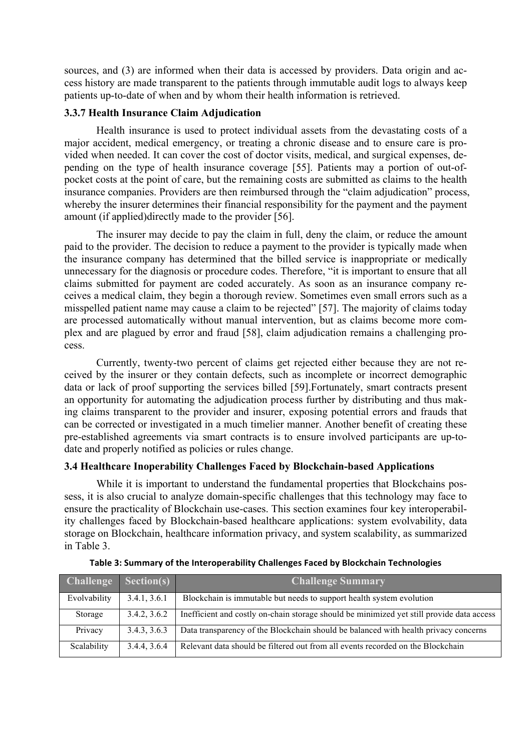sources, and (3) are informed when their data is accessed by providers. Data origin and access history are made transparent to the patients through immutable audit logs to always keep patients up-to-date of when and by whom their health information is retrieved.

#### **3.3.7 Health Insurance Claim Adjudication**

Health insurance is used to protect individual assets from the devastating costs of a major accident, medical emergency, or treating a chronic disease and to ensure care is provided when needed. It can cover the cost of doctor visits, medical, and surgical expenses, depending on the type of health insurance coverage [55]. Patients may a portion of out-ofpocket costs at the point of care, but the remaining costs are submitted as claims to the health insurance companies. Providers are then reimbursed through the "claim adjudication" process, whereby the insurer determines their financial responsibility for the payment and the payment amount (if applied)directly made to the provider [56].

The insurer may decide to pay the claim in full, deny the claim, or reduce the amount paid to the provider. The decision to reduce a payment to the provider is typically made when the insurance company has determined that the billed service is inappropriate or medically unnecessary for the diagnosis or procedure codes. Therefore, "it is important to ensure that all claims submitted for payment are coded accurately. As soon as an insurance company receives a medical claim, they begin a thorough review. Sometimes even small errors such as a misspelled patient name may cause a claim to be rejected" [57]. The majority of claims today are processed automatically without manual intervention, but as claims become more complex and are plagued by error and fraud [58], claim adjudication remains a challenging process.

Currently, twenty-two percent of claims get rejected either because they are not received by the insurer or they contain defects, such as incomplete or incorrect demographic data or lack of proof supporting the services billed [59].Fortunately, smart contracts present an opportunity for automating the adjudication process further by distributing and thus making claims transparent to the provider and insurer, exposing potential errors and frauds that can be corrected or investigated in a much timelier manner. Another benefit of creating these pre-established agreements via smart contracts is to ensure involved participants are up-todate and properly notified as policies or rules change.

## **3.4 Healthcare Inoperability Challenges Faced by Blockchain-based Applications**

While it is important to understand the fundamental properties that Blockchains possess, it is also crucial to analyze domain-specific challenges that this technology may face to ensure the practicality of Blockchain use-cases. This section examines four key interoperability challenges faced by Blockchain-based healthcare applications: system evolvability, data storage on Blockchain, healthcare information privacy, and system scalability, as summarized in Table 3.

| <b>Challenge</b> | Section(s)   | <b>Challenge Summary</b>                                                                  |
|------------------|--------------|-------------------------------------------------------------------------------------------|
| Evolvability     | 3.4.1, 3.6.1 | Blockchain is immutable but needs to support health system evolution                      |
| Storage          | 3.4.2, 3.6.2 | Inefficient and costly on-chain storage should be minimized yet still provide data access |
| Privacy          | 3.4.3, 3.6.3 | Data transparency of the Blockchain should be balanced with health privacy concerns       |
| Scalability      | 3.4.4, 3.6.4 | Relevant data should be filtered out from all events recorded on the Blockchain           |

**Table 3: Summary of the Interoperability Challenges Faced by Blockchain Technologies**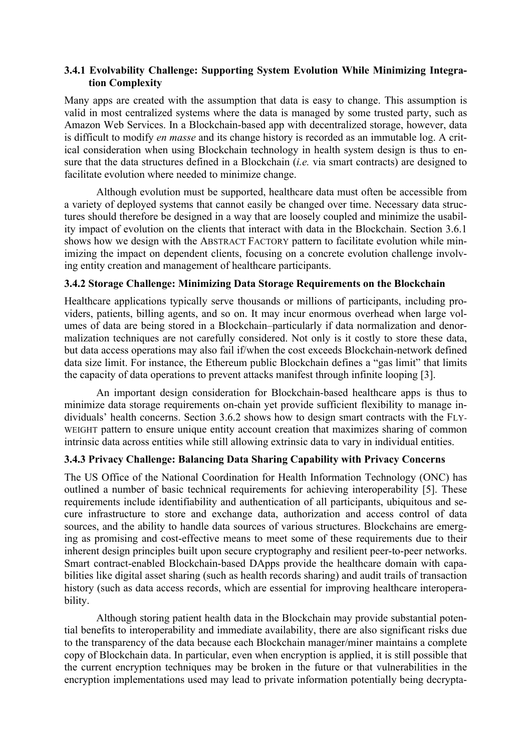### **3.4.1 Evolvability Challenge: Supporting System Evolution While Minimizing Integration Complexity**

Many apps are created with the assumption that data is easy to change. This assumption is valid in most centralized systems where the data is managed by some trusted party, such as Amazon Web Services. In a Blockchain-based app with decentralized storage, however, data is difficult to modify *en masse* and its change history is recorded as an immutable log. A critical consideration when using Blockchain technology in health system design is thus to ensure that the data structures defined in a Blockchain (*i.e.* via smart contracts) are designed to facilitate evolution where needed to minimize change.

Although evolution must be supported, healthcare data must often be accessible from a variety of deployed systems that cannot easily be changed over time. Necessary data structures should therefore be designed in a way that are loosely coupled and minimize the usability impact of evolution on the clients that interact with data in the Blockchain. Section 3.6.1 shows how we design with the ABSTRACT FACTORY pattern to facilitate evolution while minimizing the impact on dependent clients, focusing on a concrete evolution challenge involving entity creation and management of healthcare participants.

## **3.4.2 Storage Challenge: Minimizing Data Storage Requirements on the Blockchain**

Healthcare applications typically serve thousands or millions of participants, including providers, patients, billing agents, and so on. It may incur enormous overhead when large volumes of data are being stored in a Blockchain–particularly if data normalization and denormalization techniques are not carefully considered. Not only is it costly to store these data, but data access operations may also fail if/when the cost exceeds Blockchain-network defined data size limit. For instance, the Ethereum public Blockchain defines a "gas limit" that limits the capacity of data operations to prevent attacks manifest through infinite looping [3].

An important design consideration for Blockchain-based healthcare apps is thus to minimize data storage requirements on-chain yet provide sufficient flexibility to manage individuals' health concerns. Section 3.6.2 shows how to design smart contracts with the FLY-WEIGHT pattern to ensure unique entity account creation that maximizes sharing of common intrinsic data across entities while still allowing extrinsic data to vary in individual entities.

## **3.4.3 Privacy Challenge: Balancing Data Sharing Capability with Privacy Concerns**

The US Office of the National Coordination for Health Information Technology (ONC) has outlined a number of basic technical requirements for achieving interoperability [5]. These requirements include identifiability and authentication of all participants, ubiquitous and secure infrastructure to store and exchange data, authorization and access control of data sources, and the ability to handle data sources of various structures. Blockchains are emerging as promising and cost-effective means to meet some of these requirements due to their inherent design principles built upon secure cryptography and resilient peer-to-peer networks. Smart contract-enabled Blockchain-based DApps provide the healthcare domain with capabilities like digital asset sharing (such as health records sharing) and audit trails of transaction history (such as data access records, which are essential for improving healthcare interoperability.

Although storing patient health data in the Blockchain may provide substantial potential benefits to interoperability and immediate availability, there are also significant risks due to the transparency of the data because each Blockchain manager/miner maintains a complete copy of Blockchain data. In particular, even when encryption is applied, it is still possible that the current encryption techniques may be broken in the future or that vulnerabilities in the encryption implementations used may lead to private information potentially being decrypta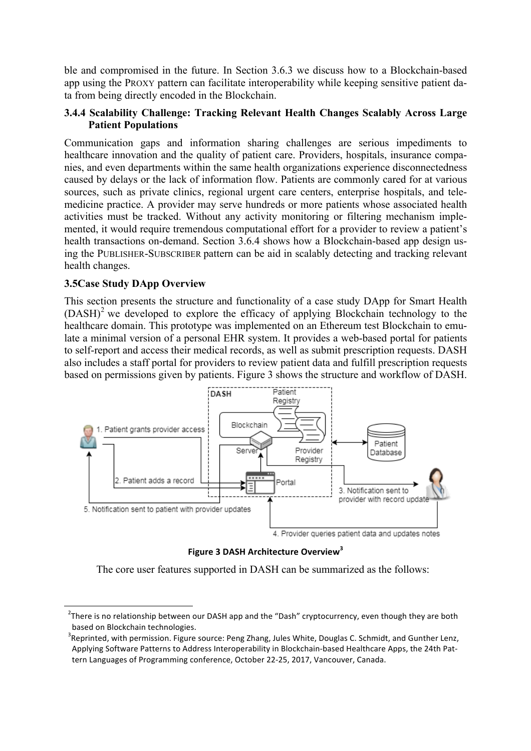ble and compromised in the future. In Section 3.6.3 we discuss how to a Blockchain-based app using the PROXY pattern can facilitate interoperability while keeping sensitive patient data from being directly encoded in the Blockchain.

### **3.4.4 Scalability Challenge: Tracking Relevant Health Changes Scalably Across Large Patient Populations**

Communication gaps and information sharing challenges are serious impediments to healthcare innovation and the quality of patient care. Providers, hospitals, insurance companies, and even departments within the same health organizations experience disconnectedness caused by delays or the lack of information flow. Patients are commonly cared for at various sources, such as private clinics, regional urgent care centers, enterprise hospitals, and telemedicine practice. A provider may serve hundreds or more patients whose associated health activities must be tracked. Without any activity monitoring or filtering mechanism implemented, it would require tremendous computational effort for a provider to review a patient's health transactions on-demand. Section 3.6.4 shows how a Blockchain-based app design using the PUBLISHER-SUBSCRIBER pattern can be aid in scalably detecting and tracking relevant health changes.

## **3.5Case Study DApp Overview**

<u> 1989 - Johann Barn, mars ann an t-Amhain an t-Amhain an t-Amhain an t-Amhain an t-Amhain an t-Amhain an t-Amh</u>

This section presents the structure and functionality of a case study DApp for Smart Health  $(DASH)^2$  we developed to explore the efficacy of applying Blockchain technology to the healthcare domain. This prototype was implemented on an Ethereum test Blockchain to emulate a minimal version of a personal EHR system. It provides a web-based portal for patients to self-report and access their medical records, as well as submit prescription requests. DASH also includes a staff portal for providers to review patient data and fulfill prescription requests based on permissions given by patients. Figure 3 shows the structure and workflow of DASH.



**Figure 3 DASH Architecture Overview<sup>3</sup>**

The core user features supported in DASH can be summarized as the follows:

 $^2$ There is no relationship between our DASH app and the "Dash" cryptocurrency, even though they are both based on Blockchain technologies.

 $3$ Reprinted, with permission. Figure source: Peng Zhang, Jules White, Douglas C. Schmidt, and Gunther Lenz, Applying Software Patterns to Address Interoperability in Blockchain-based Healthcare Apps, the 24th Pattern Languages of Programming conference, October 22-25, 2017, Vancouver, Canada.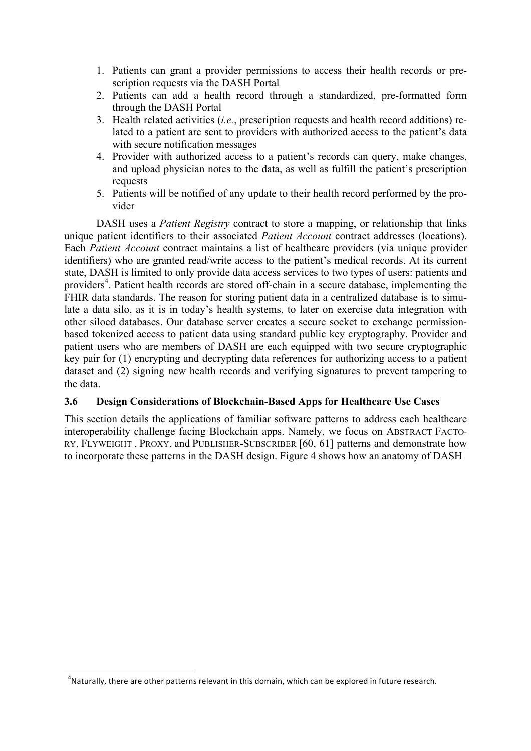- 1. Patients can grant a provider permissions to access their health records or prescription requests via the DASH Portal
- 2. Patients can add a health record through a standardized, pre-formatted form through the DASH Portal
- 3. Health related activities (*i.e.*, prescription requests and health record additions) related to a patient are sent to providers with authorized access to the patient's data with secure notification messages
- 4. Provider with authorized access to a patient's records can query, make changes, and upload physician notes to the data, as well as fulfill the patient's prescription requests
- 5. Patients will be notified of any update to their health record performed by the provider

DASH uses a *Patient Registry* contract to store a mapping, or relationship that links unique patient identifiers to their associated *Patient Account* contract addresses (locations). Each *Patient Account* contract maintains a list of healthcare providers (via unique provider identifiers) who are granted read/write access to the patient's medical records. At its current state, DASH is limited to only provide data access services to two types of users: patients and providers<sup>4</sup>. Patient health records are stored off-chain in a secure database, implementing the FHIR data standards. The reason for storing patient data in a centralized database is to simulate a data silo, as it is in today's health systems, to later on exercise data integration with other siloed databases. Our database server creates a secure socket to exchange permissionbased tokenized access to patient data using standard public key cryptography. Provider and patient users who are members of DASH are each equipped with two secure cryptographic key pair for (1) encrypting and decrypting data references for authorizing access to a patient dataset and (2) signing new health records and verifying signatures to prevent tampering to the data.

## **3.6 Design Considerations of Blockchain-Based Apps for Healthcare Use Cases**

This section details the applications of familiar software patterns to address each healthcare interoperability challenge facing Blockchain apps. Namely, we focus on ABSTRACT FACTO-RY, FLYWEIGHT , PROXY, and PUBLISHER-SUBSCRIBER [60, 61] patterns and demonstrate how to incorporate these patterns in the DASH design. Figure 4 shows how an anatomy of DASH

A aturally, there are other patterns relevant in this domain, which can be explored in future research.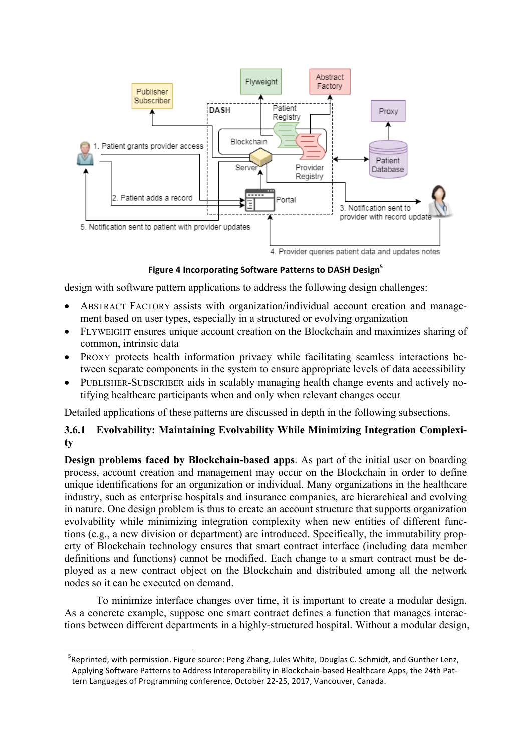

**Figure 4 Incorporating Software Patterns to DASH Design<sup>5</sup>** 

design with software pattern applications to address the following design challenges:

- ABSTRACT FACTORY assists with organization/individual account creation and management based on user types, especially in a structured or evolving organization
- FLYWEIGHT ensures unique account creation on the Blockchain and maximizes sharing of common, intrinsic data
- PROXY protects health information privacy while facilitating seamless interactions between separate components in the system to ensure appropriate levels of data accessibility
- PUBLISHER-SUBSCRIBER aids in scalably managing health change events and actively notifying healthcare participants when and only when relevant changes occur

Detailed applications of these patterns are discussed in depth in the following subsections.

# **3.6.1 Evolvability: Maintaining Evolvability While Minimizing Integration Complexity**

**Design problems faced by Blockchain-based apps**. As part of the initial user on boarding process, account creation and management may occur on the Blockchain in order to define unique identifications for an organization or individual. Many organizations in the healthcare industry, such as enterprise hospitals and insurance companies, are hierarchical and evolving in nature. One design problem is thus to create an account structure that supports organization evolvability while minimizing integration complexity when new entities of different functions (e.g., a new division or department) are introduced. Specifically, the immutability property of Blockchain technology ensures that smart contract interface (including data member definitions and functions) cannot be modified. Each change to a smart contract must be deployed as a new contract object on the Blockchain and distributed among all the network nodes so it can be executed on demand.

To minimize interface changes over time, it is important to create a modular design. As a concrete example, suppose one smart contract defines a function that manages interactions between different departments in a highly-structured hospital. Without a modular design,

 $^5$ Reprinted, with permission. Figure source: Peng Zhang, Jules White, Douglas C. Schmidt, and Gunther Lenz, Applying Software Patterns to Address Interoperability in Blockchain-based Healthcare Apps, the 24th Pattern Languages of Programming conference, October 22-25, 2017, Vancouver, Canada.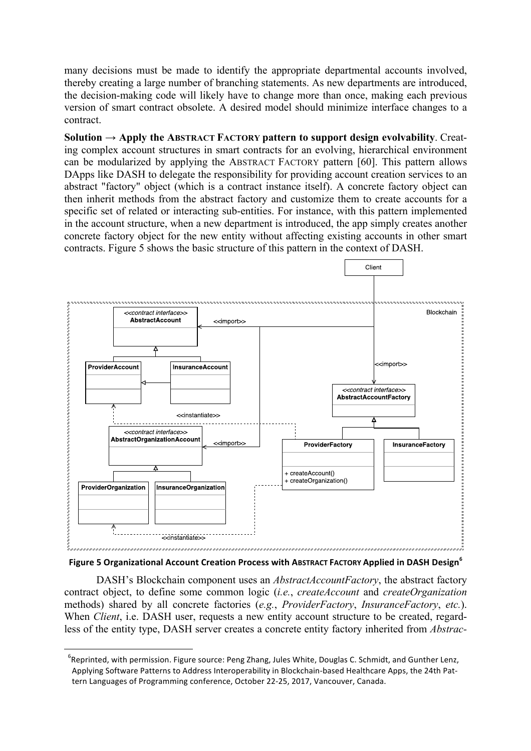many decisions must be made to identify the appropriate departmental accounts involved, thereby creating a large number of branching statements. As new departments are introduced, the decision-making code will likely have to change more than once, making each previous version of smart contract obsolete. A desired model should minimize interface changes to a contract.

**Solution → Apply the ABSTRACT FACTORY pattern to support design evolvability**. Creating complex account structures in smart contracts for an evolving, hierarchical environment can be modularized by applying the ABSTRACT FACTORY pattern [60]. This pattern allows DApps like DASH to delegate the responsibility for providing account creation services to an abstract "factory" object (which is a contract instance itself). A concrete factory object can then inherit methods from the abstract factory and customize them to create accounts for a specific set of related or interacting sub-entities. For instance, with this pattern implemented in the account structure, when a new department is introduced, the app simply creates another concrete factory object for the new entity without affecting existing accounts in other smart contracts. Figure 5 shows the basic structure of this pattern in the context of DASH.



**Figure 5 Organizational Account Creation Process with ABSTRACT FACTORY Applied in DASH Design<sup>6</sup>**

DASH's Blockchain component uses an *AbstractAccountFactory*, the abstract factory contract object, to define some common logic (*i.e.*, *createAccount* and *createOrganization* methods) shared by all concrete factories (*e.g.*, *ProviderFactory*, *InsuranceFactory*, *etc.*). When *Client*, i.e. DASH user, requests a new entity account structure to be created, regardless of the entity type, DASH server creates a concrete entity factory inherited from *Abstrac-*

 $^6$ Reprinted, with permission. Figure source: Peng Zhang, Jules White, Douglas C. Schmidt, and Gunther Lenz, Applying Software Patterns to Address Interoperability in Blockchain-based Healthcare Apps, the 24th Pattern Languages of Programming conference, October 22-25, 2017, Vancouver, Canada.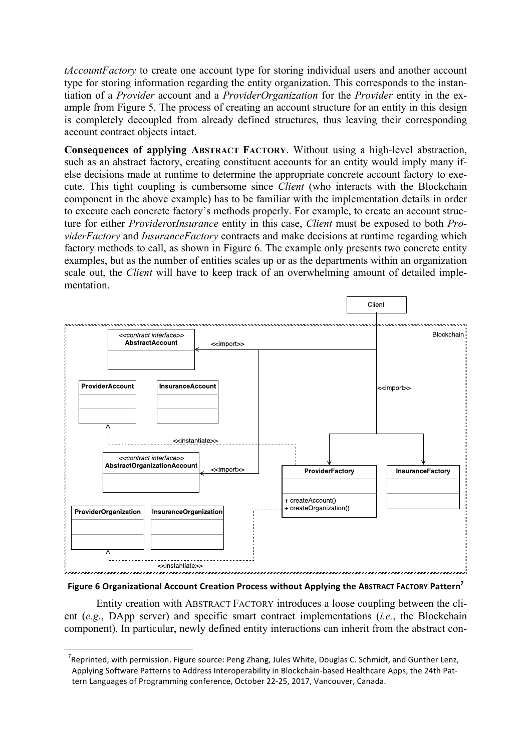*tAccountFactory* to create one account type for storing individual users and another account type for storing information regarding the entity organization. This corresponds to the instantiation of a *Provider* account and a *ProviderOrganization* for the *Provider* entity in the example from Figure 5. The process of creating an account structure for an entity in this design is completely decoupled from already defined structures, thus leaving their corresponding account contract objects intact.

**Consequences of applying ABSTRACT FACTORY**. Without using a high-level abstraction, such as an abstract factory, creating constituent accounts for an entity would imply many ifelse decisions made at runtime to determine the appropriate concrete account factory to execute. This tight coupling is cumbersome since *Client* (who interacts with the Blockchain component in the above example) has to be familiar with the implementation details in order to execute each concrete factory's methods properly. For example, to create an account structure for either *Provider*or*Insurance* entity in this case, *Client* must be exposed to both *ProviderFactory* and *InsuranceFactory* contracts and make decisions at runtime regarding which factory methods to call, as shown in Figure 6. The example only presents two concrete entity examples, but as the number of entities scales up or as the departments within an organization scale out, the *Client* will have to keep track of an overwhelming amount of detailed implementation.



**Figure 6 Organizational Account Creation Process without Applying the ABSTRACT FACTORY Pattern<sup>7</sup>**

Entity creation with ABSTRACT FACTORY introduces a loose coupling between the client (*e.g.*, DApp server) and specific smart contract implementations (*i.e.*, the Blockchain component). In particular, newly defined entity interactions can inherit from the abstract con-

 $^7$ Reprinted, with permission. Figure source: Peng Zhang, Jules White, Douglas C. Schmidt, and Gunther Lenz, Applying Software Patterns to Address Interoperability in Blockchain-based Healthcare Apps, the 24th Pattern Languages of Programming conference, October 22-25, 2017, Vancouver, Canada.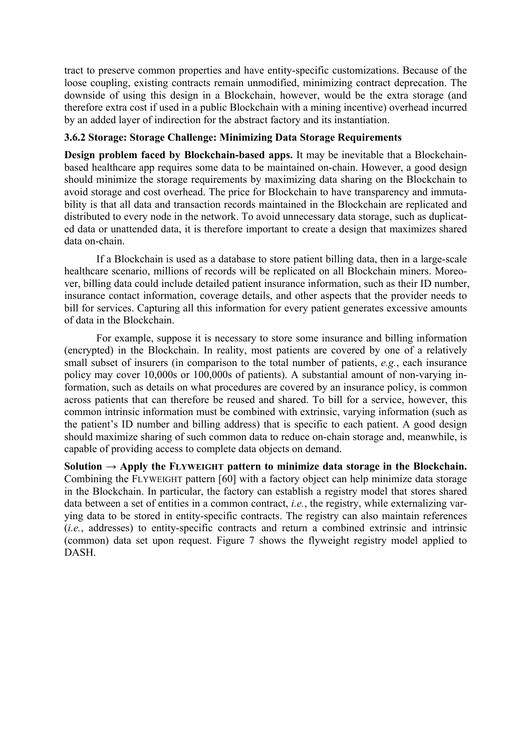tract to preserve common properties and have entity-specific customizations. Because of the loose coupling, existing contracts remain unmodified, minimizing contract deprecation. The downside of using this design in a Blockchain, however, would be the extra storage (and therefore extra cost if used in a public Blockchain with a mining incentive) overhead incurred by an added layer of indirection for the abstract factory and its instantiation.

### **3.6.2 Storage: Storage Challenge: Minimizing Data Storage Requirements**

**Design problem faced by Blockchain-based apps.** It may be inevitable that a Blockchainbased healthcare app requires some data to be maintained on-chain. However, a good design should minimize the storage requirements by maximizing data sharing on the Blockchain to avoid storage and cost overhead. The price for Blockchain to have transparency and immutability is that all data and transaction records maintained in the Blockchain are replicated and distributed to every node in the network. To avoid unnecessary data storage, such as duplicated data or unattended data, it is therefore important to create a design that maximizes shared data on-chain.

If a Blockchain is used as a database to store patient billing data, then in a large-scale healthcare scenario, millions of records will be replicated on all Blockchain miners. Moreover, billing data could include detailed patient insurance information, such as their ID number, insurance contact information, coverage details, and other aspects that the provider needs to bill for services. Capturing all this information for every patient generates excessive amounts of data in the Blockchain.

For example, suppose it is necessary to store some insurance and billing information (encrypted) in the Blockchain. In reality, most patients are covered by one of a relatively small subset of insurers (in comparison to the total number of patients, *e.g.*, each insurance policy may cover 10,000s or 100,000s of patients). A substantial amount of non-varying information, such as details on what procedures are covered by an insurance policy, is common across patients that can therefore be reused and shared. To bill for a service, however, this common intrinsic information must be combined with extrinsic, varying information (such as the patient's ID number and billing address) that is specific to each patient. A good design should maximize sharing of such common data to reduce on-chain storage and, meanwhile, is capable of providing access to complete data objects on demand.

Solution  $\rightarrow$  Apply the FLYWEIGHT pattern to minimize data storage in the Blockchain. Combining the FLYWEIGHT pattern [60] with a factory object can help minimize data storage in the Blockchain. In particular, the factory can establish a registry model that stores shared data between a set of entities in a common contract, *i.e.*, the registry, while externalizing varying data to be stored in entity-specific contracts. The registry can also maintain references (*i.e.*, addresses) to entity-specific contracts and return a combined extrinsic and intrinsic (common) data set upon request. Figure 7 shows the flyweight registry model applied to DASH.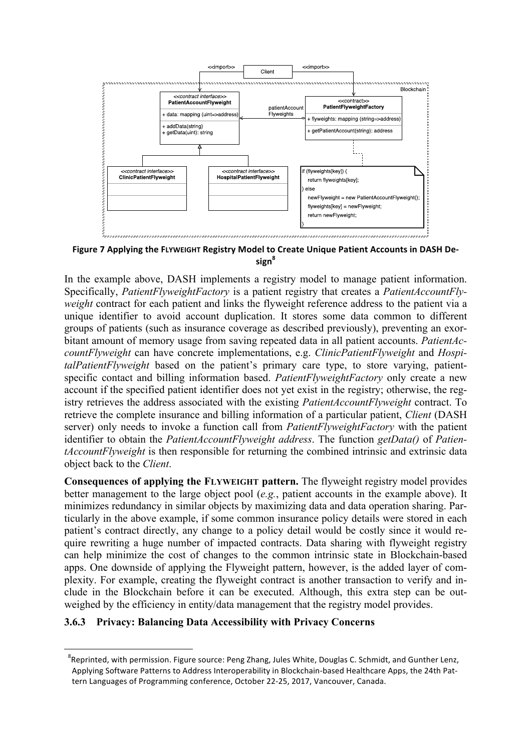

**Figure 7 Applying the FLYWEIGHT Registry Model to Create Unique Patient Accounts in DASH Design<sup>8</sup>**

In the example above, DASH implements a registry model to manage patient information. Specifically, *PatientFlyweightFactory* is a patient registry that creates a *PatientAccountFlyweight* contract for each patient and links the flyweight reference address to the patient via a unique identifier to avoid account duplication. It stores some data common to different groups of patients (such as insurance coverage as described previously), preventing an exorbitant amount of memory usage from saving repeated data in all patient accounts. *PatientAccountFlyweight* can have concrete implementations, e.g. *ClinicPatientFlyweight* and *HospitalPatientFlyweight* based on the patient's primary care type, to store varying, patientspecific contact and billing information based. *PatientFlyweightFactory* only create a new account if the specified patient identifier does not yet exist in the registry; otherwise, the registry retrieves the address associated with the existing *PatientAccountFlyweight* contract. To retrieve the complete insurance and billing information of a particular patient, *Client* (DASH server) only needs to invoke a function call from *PatientFlyweightFactory* with the patient identifier to obtain the *PatientAccountFlyweight address*. The function *getData()* of *PatientAccountFlyweight* is then responsible for returning the combined intrinsic and extrinsic data object back to the *Client*.

**Consequences of applying the FLYWEIGHT pattern.** The flyweight registry model provides better management to the large object pool (*e.g.*, patient accounts in the example above). It minimizes redundancy in similar objects by maximizing data and data operation sharing. Particularly in the above example, if some common insurance policy details were stored in each patient's contract directly, any change to a policy detail would be costly since it would require rewriting a huge number of impacted contracts. Data sharing with flyweight registry can help minimize the cost of changes to the common intrinsic state in Blockchain-based apps. One downside of applying the Flyweight pattern, however, is the added layer of complexity. For example, creating the flyweight contract is another transaction to verify and include in the Blockchain before it can be executed. Although, this extra step can be outweighed by the efficiency in entity/data management that the registry model provides.

#### **3.6.3 Privacy: Balancing Data Accessibility with Privacy Concerns**

 ${}^{8}$ Reprinted, with permission. Figure source: Peng Zhang, Jules White, Douglas C. Schmidt, and Gunther Lenz, Applying Software Patterns to Address Interoperability in Blockchain-based Healthcare Apps, the 24th Pattern Languages of Programming conference, October 22-25, 2017, Vancouver, Canada.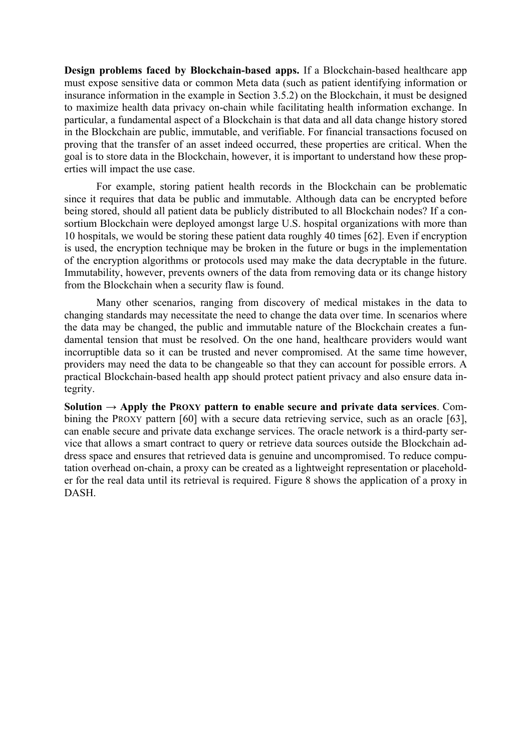**Design problems faced by Blockchain-based apps.** If a Blockchain-based healthcare app must expose sensitive data or common Meta data (such as patient identifying information or insurance information in the example in Section 3.5.2) on the Blockchain, it must be designed to maximize health data privacy on-chain while facilitating health information exchange. In particular, a fundamental aspect of a Blockchain is that data and all data change history stored in the Blockchain are public, immutable, and verifiable. For financial transactions focused on proving that the transfer of an asset indeed occurred, these properties are critical. When the goal is to store data in the Blockchain, however, it is important to understand how these properties will impact the use case.

For example, storing patient health records in the Blockchain can be problematic since it requires that data be public and immutable. Although data can be encrypted before being stored, should all patient data be publicly distributed to all Blockchain nodes? If a consortium Blockchain were deployed amongst large U.S. hospital organizations with more than 10 hospitals, we would be storing these patient data roughly 40 times [62]. Even if encryption is used, the encryption technique may be broken in the future or bugs in the implementation of the encryption algorithms or protocols used may make the data decryptable in the future. Immutability, however, prevents owners of the data from removing data or its change history from the Blockchain when a security flaw is found.

Many other scenarios, ranging from discovery of medical mistakes in the data to changing standards may necessitate the need to change the data over time. In scenarios where the data may be changed, the public and immutable nature of the Blockchain creates a fundamental tension that must be resolved. On the one hand, healthcare providers would want incorruptible data so it can be trusted and never compromised. At the same time however, providers may need the data to be changeable so that they can account for possible errors. A practical Blockchain-based health app should protect patient privacy and also ensure data integrity.

**Solution**  $\rightarrow$  **Apply the PROXY pattern to enable secure and private data services. Com**bining the PROXY pattern [60] with a secure data retrieving service, such as an oracle [63], can enable secure and private data exchange services. The oracle network is a third-party service that allows a smart contract to query or retrieve data sources outside the Blockchain address space and ensures that retrieved data is genuine and uncompromised. To reduce computation overhead on-chain, a proxy can be created as a lightweight representation or placeholder for the real data until its retrieval is required. Figure 8 shows the application of a proxy in DASH.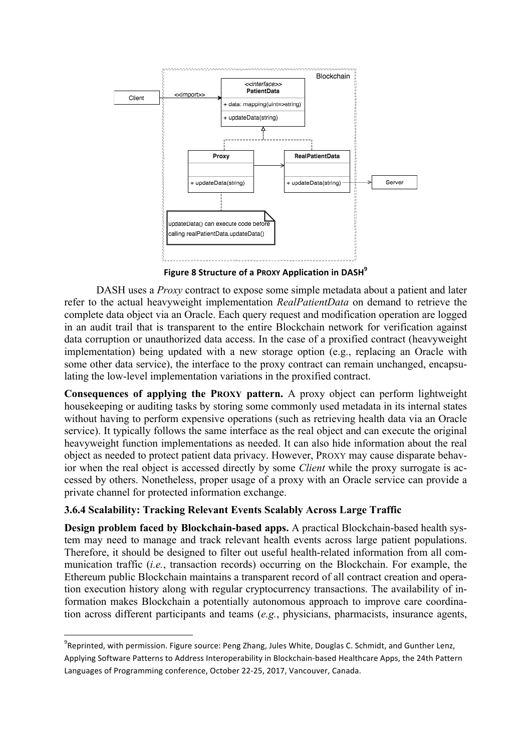

**Figure 8 Structure of a Proxy Application in DASH<sup>9</sup>** 

DASH uses a *Proxy* contract to expose some simple metadata about a patient and later refer to the actual heavyweight implementation *RealPatientData* on demand to retrieve the complete data object via an Oracle. Each query request and modification operation are logged in an audit trail that is transparent to the entire Blockchain network for verification against data corruption or unauthorized data access. In the case of a proxified contract (heavyweight implementation) being updated with a new storage option (e.g., replacing an Oracle with some other data service), the interface to the proxy contract can remain unchanged, encapsulating the low-level implementation variations in the proxified contract.

**Consequences of applying the PROXY pattern.** A proxy object can perform lightweight housekeeping or auditing tasks by storing some commonly used metadata in its internal states without having to perform expensive operations (such as retrieving health data via an Oracle service). It typically follows the same interface as the real object and can execute the original heavyweight function implementations as needed. It can also hide information about the real object as needed to protect patient data privacy. However, PROXY may cause disparate behavior when the real object is accessed directly by some *Client* while the proxy surrogate is accessed by others. Nonetheless, proper usage of a proxy with an Oracle service can provide a private channel for protected information exchange.

## **3.6.4 Scalability: Tracking Relevant Events Scalably Across Large Traffic**

<u> 1989 - Johann Stein, mars an de Brandenburg (b. 1989)</u>

**Design problem faced by Blockchain-based apps.** A practical Blockchain-based health system may need to manage and track relevant health events across large patient populations. Therefore, it should be designed to filter out useful health-related information from all communication traffic (*i.e.*, transaction records) occurring on the Blockchain. For example, the Ethereum public Blockchain maintains a transparent record of all contract creation and operation execution history along with regular cryptocurrency transactions. The availability of information makes Blockchain a potentially autonomous approach to improve care coordination across different participants and teams (*e.g.*, physicians, pharmacists, insurance agents,

 $^9$ Reprinted, with permission. Figure source: Peng Zhang, Jules White, Douglas C. Schmidt, and Gunther Lenz, Applying Software Patterns to Address Interoperability in Blockchain-based Healthcare Apps, the 24th Pattern Languages of Programming conference, October 22-25, 2017, Vancouver, Canada.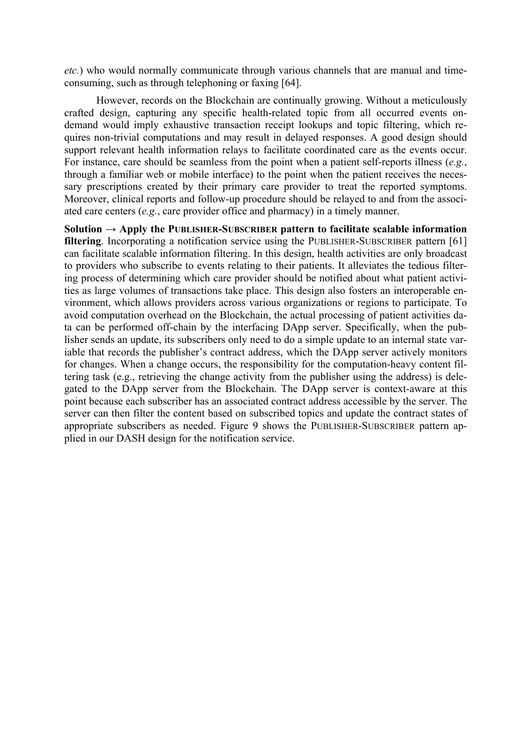*etc.*) who would normally communicate through various channels that are manual and timeconsuming, such as through telephoning or faxing [64].

However, records on the Blockchain are continually growing. Without a meticulously crafted design, capturing any specific health-related topic from all occurred events ondemand would imply exhaustive transaction receipt lookups and topic filtering, which requires non-trivial computations and may result in delayed responses. A good design should support relevant health information relays to facilitate coordinated care as the events occur. For instance, care should be seamless from the point when a patient self-reports illness (*e.g.*, through a familiar web or mobile interface) to the point when the patient receives the necessary prescriptions created by their primary care provider to treat the reported symptoms. Moreover, clinical reports and follow-up procedure should be relayed to and from the associated care centers (*e.g.*, care provider office and pharmacy) in a timely manner.

**Solution → Apply the PUBLISHER-SUBSCRIBER pattern to facilitate scalable information filtering**. Incorporating a notification service using the PUBLISHER-SUBSCRIBER pattern [61] can facilitate scalable information filtering. In this design, health activities are only broadcast to providers who subscribe to events relating to their patients. It alleviates the tedious filtering process of determining which care provider should be notified about what patient activities as large volumes of transactions take place. This design also fosters an interoperable environment, which allows providers across various organizations or regions to participate. To avoid computation overhead on the Blockchain, the actual processing of patient activities data can be performed off-chain by the interfacing DApp server. Specifically, when the publisher sends an update, its subscribers only need to do a simple update to an internal state variable that records the publisher's contract address, which the DApp server actively monitors for changes. When a change occurs, the responsibility for the computation-heavy content filtering task (e.g., retrieving the change activity from the publisher using the address) is delegated to the DApp server from the Blockchain. The DApp server is context-aware at this point because each subscriber has an associated contract address accessible by the server. The server can then filter the content based on subscribed topics and update the contract states of appropriate subscribers as needed. Figure 9 shows the PUBLISHER-SUBSCRIBER pattern applied in our DASH design for the notification service.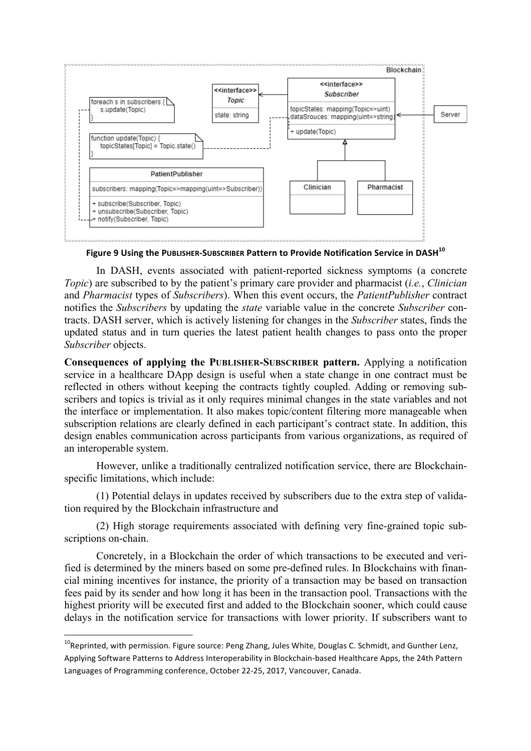

Figure 9 Using the PUBLISHER-SUBSCRIBER Pattern to Provide Notification Service in DASH<sup>10</sup>

In DASH, events associated with patient-reported sickness symptoms (a concrete *Topic*) are subscribed to by the patient's primary care provider and pharmacist (*i.e.*, *Clinician* and *Pharmacist* types of *Subscribers*). When this event occurs, the *PatientPublisher* contract notifies the *Subscribers* by updating the *state* variable value in the concrete *Subscriber* contracts. DASH server, which is actively listening for changes in the *Subscriber* states, finds the updated status and in turn queries the latest patient health changes to pass onto the proper *Subscriber* objects.

**Consequences of applying the PUBLISHER-SUBSCRIBER pattern.** Applying a notification service in a healthcare DApp design is useful when a state change in one contract must be reflected in others without keeping the contracts tightly coupled. Adding or removing subscribers and topics is trivial as it only requires minimal changes in the state variables and not the interface or implementation. It also makes topic/content filtering more manageable when subscription relations are clearly defined in each participant's contract state. In addition, this design enables communication across participants from various organizations, as required of an interoperable system.

However, unlike a traditionally centralized notification service, there are Blockchainspecific limitations, which include:

(1) Potential delays in updates received by subscribers due to the extra step of validation required by the Blockchain infrastructure and

(2) High storage requirements associated with defining very fine-grained topic subscriptions on-chain.

Concretely, in a Blockchain the order of which transactions to be executed and verified is determined by the miners based on some pre-defined rules. In Blockchains with financial mining incentives for instance, the priority of a transaction may be based on transaction fees paid by its sender and how long it has been in the transaction pool. Transactions with the highest priority will be executed first and added to the Blockchain sooner, which could cause delays in the notification service for transactions with lower priority. If subscribers want to

<u> 1989 - Johann Stein, mars an de Brandenburg (b. 1989)</u>

 $10$ Reprinted, with permission. Figure source: Peng Zhang, Jules White, Douglas C. Schmidt, and Gunther Lenz, Applying Software Patterns to Address Interoperability in Blockchain-based Healthcare Apps, the 24th Pattern Languages of Programming conference, October 22-25, 2017, Vancouver, Canada.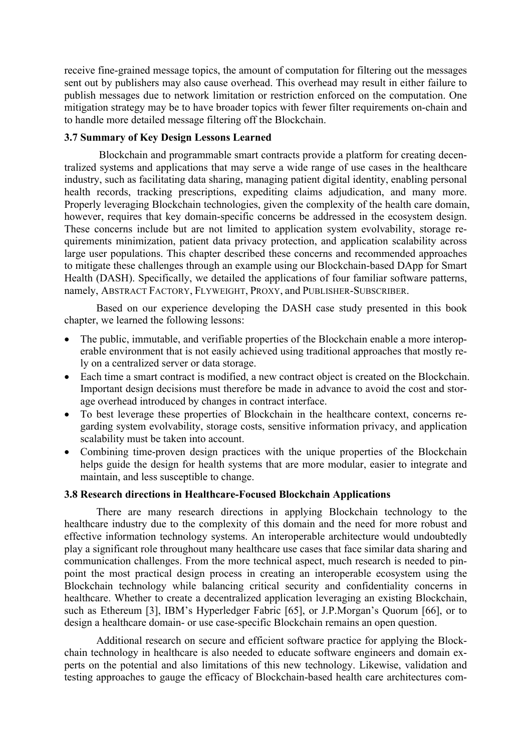receive fine-grained message topics, the amount of computation for filtering out the messages sent out by publishers may also cause overhead. This overhead may result in either failure to publish messages due to network limitation or restriction enforced on the computation. One mitigation strategy may be to have broader topics with fewer filter requirements on-chain and to handle more detailed message filtering off the Blockchain.

### **3.7 Summary of Key Design Lessons Learned**

Blockchain and programmable smart contracts provide a platform for creating decentralized systems and applications that may serve a wide range of use cases in the healthcare industry, such as facilitating data sharing, managing patient digital identity, enabling personal health records, tracking prescriptions, expediting claims adjudication, and many more. Properly leveraging Blockchain technologies, given the complexity of the health care domain, however, requires that key domain-specific concerns be addressed in the ecosystem design. These concerns include but are not limited to application system evolvability, storage requirements minimization, patient data privacy protection, and application scalability across large user populations. This chapter described these concerns and recommended approaches to mitigate these challenges through an example using our Blockchain-based DApp for Smart Health (DASH). Specifically, we detailed the applications of four familiar software patterns, namely, ABSTRACT FACTORY, FLYWEIGHT, PROXY, and PUBLISHER-SUBSCRIBER.

Based on our experience developing the DASH case study presented in this book chapter, we learned the following lessons:

- The public, immutable, and verifiable properties of the Blockchain enable a more interoperable environment that is not easily achieved using traditional approaches that mostly rely on a centralized server or data storage.
- Each time a smart contract is modified, a new contract object is created on the Blockchain. Important design decisions must therefore be made in advance to avoid the cost and storage overhead introduced by changes in contract interface.
- To best leverage these properties of Blockchain in the healthcare context, concerns regarding system evolvability, storage costs, sensitive information privacy, and application scalability must be taken into account.
- Combining time-proven design practices with the unique properties of the Blockchain helps guide the design for health systems that are more modular, easier to integrate and maintain, and less susceptible to change.

## **3.8 Research directions in Healthcare-Focused Blockchain Applications**

There are many research directions in applying Blockchain technology to the healthcare industry due to the complexity of this domain and the need for more robust and effective information technology systems. An interoperable architecture would undoubtedly play a significant role throughout many healthcare use cases that face similar data sharing and communication challenges. From the more technical aspect, much research is needed to pinpoint the most practical design process in creating an interoperable ecosystem using the Blockchain technology while balancing critical security and confidentiality concerns in healthcare. Whether to create a decentralized application leveraging an existing Blockchain, such as Ethereum [3], IBM's Hyperledger Fabric [65], or J.P.Morgan's Quorum [66], or to design a healthcare domain- or use case-specific Blockchain remains an open question.

Additional research on secure and efficient software practice for applying the Blockchain technology in healthcare is also needed to educate software engineers and domain experts on the potential and also limitations of this new technology. Likewise, validation and testing approaches to gauge the efficacy of Blockchain-based health care architectures com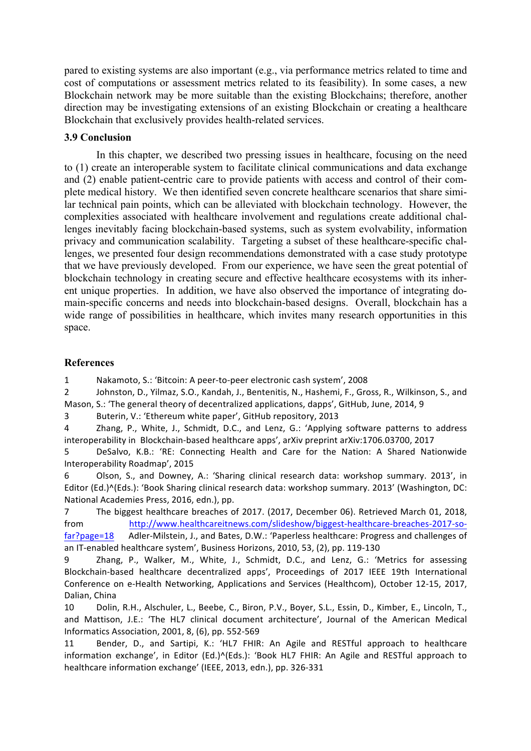pared to existing systems are also important (e.g., via performance metrics related to time and cost of computations or assessment metrics related to its feasibility). In some cases, a new Blockchain network may be more suitable than the existing Blockchains; therefore, another direction may be investigating extensions of an existing Blockchain or creating a healthcare Blockchain that exclusively provides health-related services.

### **3.9 Conclusion**

In this chapter, we described two pressing issues in healthcare, focusing on the need to (1) create an interoperable system to facilitate clinical communications and data exchange and (2) enable patient-centric care to provide patients with access and control of their complete medical history. We then identified seven concrete healthcare scenarios that share similar technical pain points, which can be alleviated with blockchain technology. However, the complexities associated with healthcare involvement and regulations create additional challenges inevitably facing blockchain-based systems, such as system evolvability, information privacy and communication scalability. Targeting a subset of these healthcare-specific challenges, we presented four design recommendations demonstrated with a case study prototype that we have previously developed. From our experience, we have seen the great potential of blockchain technology in creating secure and effective healthcare ecosystems with its inherent unique properties. In addition, we have also observed the importance of integrating domain-specific concerns and needs into blockchain-based designs. Overall, blockchain has a wide range of possibilities in healthcare, which invites many research opportunities in this space.

## **References**

1 Nakamoto, S.: 'Bitcoin: A peer-to-peer electronic cash system', 2008

2 Johnston, D., Yilmaz, S.O., Kandah, J., Bentenitis, N., Hashemi, F., Gross, R., Wilkinson, S., and Mason, S.: 'The general theory of decentralized applications, dapps', GitHub, June, 2014, 9

3 Buterin, V.: 'Ethereum white paper', GitHub repository, 2013

4 Zhang, P., White, J., Schmidt, D.C., and Lenz, G.: 'Applying software patterns to address interoperability in Blockchain-based healthcare apps', arXiv preprint arXiv:1706.03700, 2017

5 DeSalvo, K.B.: 'RE: Connecting Health and Care for the Nation: A Shared Nationwide Interoperability Roadmap', 2015

6 Olson, S., and Downey, A.: 'Sharing clinical research data: workshop summary. 2013', in Editor (Ed.)^(Eds.): 'Book Sharing clinical research data: workshop summary. 2013' (Washington, DC: National Academies Press, 2016, edn.), pp.

7 The biggest healthcare breaches of 2017. (2017, December 06). Retrieved March 01, 2018, from http://www.healthcareitnews.com/slideshow/biggest-healthcare-breaches-2017-sofar?page=18 Adler-Milstein, J., and Bates, D.W.: 'Paperless healthcare: Progress and challenges of an IT-enabled healthcare system', Business Horizons, 2010, 53, (2), pp. 119-130

9 Zhang, P., Walker, M., White, J., Schmidt, D.C., and Lenz, G.: 'Metrics for assessing Blockchain-based healthcare decentralized apps', Proceedings of 2017 IEEE 19th International Conference on e-Health Networking, Applications and Services (Healthcom), October 12-15, 2017, Dalian, China

10 Dolin, R.H., Alschuler, L., Beebe, C., Biron, P.V., Boyer, S.L., Essin, D., Kimber, E., Lincoln, T., and Mattison, J.E.: 'The HL7 clinical document architecture', Journal of the American Medical Informatics Association, 2001, 8, (6), pp. 552-569

11 Bender, D., and Sartipi, K.: 'HL7 FHIR: An Agile and RESTful approach to healthcare information exchange', in Editor (Ed.)^(Eds.): 'Book HL7 FHIR: An Agile and RESTful approach to healthcare information exchange' (IEEE, 2013, edn.), pp. 326-331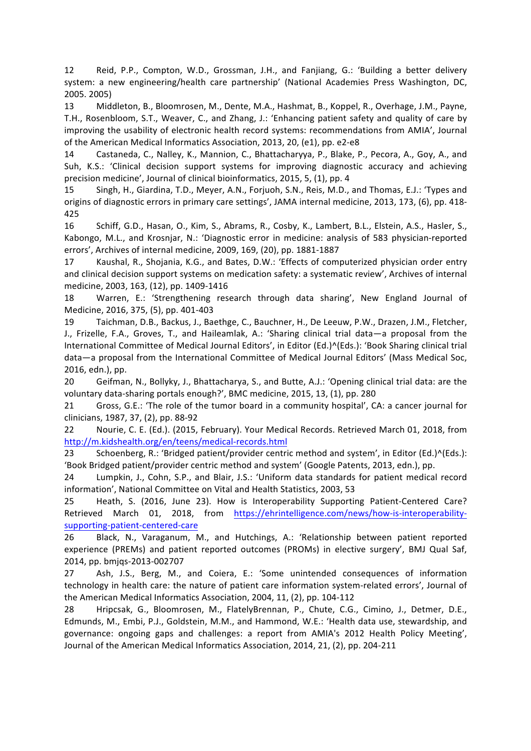12 Reid, P.P., Compton, W.D., Grossman, J.H., and Fanjiang, G.: 'Building a better delivery system: a new engineering/health care partnership' (National Academies Press Washington, DC, 2005. 2005)

13 Middleton, B., Bloomrosen, M., Dente, M.A., Hashmat, B., Koppel, R., Overhage, J.M., Payne, T.H., Rosenbloom, S.T., Weaver, C., and Zhang, J.: 'Enhancing patient safety and quality of care by improving the usability of electronic health record systems: recommendations from AMIA', Journal of the American Medical Informatics Association, 2013, 20, (e1), pp. e2-e8

14 Castaneda, C., Nalley, K., Mannion, C., Bhattacharyya, P., Blake, P., Pecora, A., Goy, A., and Suh, K.S.: 'Clinical decision support systems for improving diagnostic accuracy and achieving precision medicine', Journal of clinical bioinformatics, 2015, 5, (1), pp. 4

15 Singh, H., Giardina, T.D., Meyer, A.N., Forjuoh, S.N., Reis, M.D., and Thomas, E.J.: 'Types and origins of diagnostic errors in primary care settings', JAMA internal medicine, 2013, 173, (6), pp. 418-425

16 Schiff, G.D., Hasan, O., Kim, S., Abrams, R., Cosby, K., Lambert, B.L., Elstein, A.S., Hasler, S., Kabongo, M.L., and Krosnjar, N.: 'Diagnostic error in medicine: analysis of 583 physician-reported errors', Archives of internal medicine, 2009, 169, (20), pp. 1881-1887

17 Kaushal, R., Shojania, K.G., and Bates, D.W.: 'Effects of computerized physician order entry and clinical decision support systems on medication safety: a systematic review', Archives of internal medicine, 2003, 163, (12), pp. 1409-1416

18 Warren, E.: 'Strengthening research through data sharing', New England Journal of Medicine, 2016, 375, (5), pp. 401-403

19 Taichman, D.B., Backus, J., Baethge, C., Bauchner, H., De Leeuw, P.W., Drazen, J.M., Fletcher, J., Frizelle, F.A., Groves, T., and Haileamlak, A.: 'Sharing clinical trial data—a proposal from the International Committee of Medical Journal Editors', in Editor (Ed.)^(Eds.): 'Book Sharing clinical trial data—a proposal from the International Committee of Medical Journal Editors' (Mass Medical Soc, 2016, edn.), pp.

20 Geifman, N., Bollyky, J., Bhattacharya, S., and Butte, A.J.: 'Opening clinical trial data: are the voluntary data-sharing portals enough?', BMC medicine, 2015, 13, (1), pp. 280

21 Gross, G.E.: 'The role of the tumor board in a community hospital', CA: a cancer journal for clinicians, 1987, 37, (2), pp. 88-92

22 Nourie, C. E. (Ed.). (2015, February). Your Medical Records. Retrieved March 01, 2018, from http://m.kidshealth.org/en/teens/medical-records.html

23 Schoenberg, R.: 'Bridged patient/provider centric method and system', in Editor (Ed.)^(Eds.): 'Book Bridged patient/provider centric method and system' (Google Patents, 2013, edn.), pp.

24 Lumpkin, J., Cohn, S.P., and Blair, J.S.: 'Uniform data standards for patient medical record information', National Committee on Vital and Health Statistics, 2003, 53

25 Heath, S. (2016, June 23). How is Interoperability Supporting Patient-Centered Care? Retrieved March 01, 2018, from https://ehrintelligence.com/news/how-is-interoperabilitysupporting-patient-centered-care

26 Black, N., Varaganum, M., and Hutchings, A.: 'Relationship between patient reported experience (PREMs) and patient reported outcomes (PROMs) in elective surgery', BMJ Qual Saf, 2014, pp. bmjqs-2013-002707

27 Ash, J.S., Berg, M., and Coiera, E.: 'Some unintended consequences of information technology in health care: the nature of patient care information system-related errors', Journal of the American Medical Informatics Association, 2004, 11, (2), pp. 104-112

28 Hripcsak, G., Bloomrosen, M., FlatelyBrennan, P., Chute, C.G., Cimino, J., Detmer, D.E., Edmunds, M., Embi, P.J., Goldstein, M.M., and Hammond, W.E.: 'Health data use, stewardship, and governance: ongoing gaps and challenges: a report from AMIA's 2012 Health Policy Meeting', Journal of the American Medical Informatics Association, 2014, 21, (2), pp. 204-211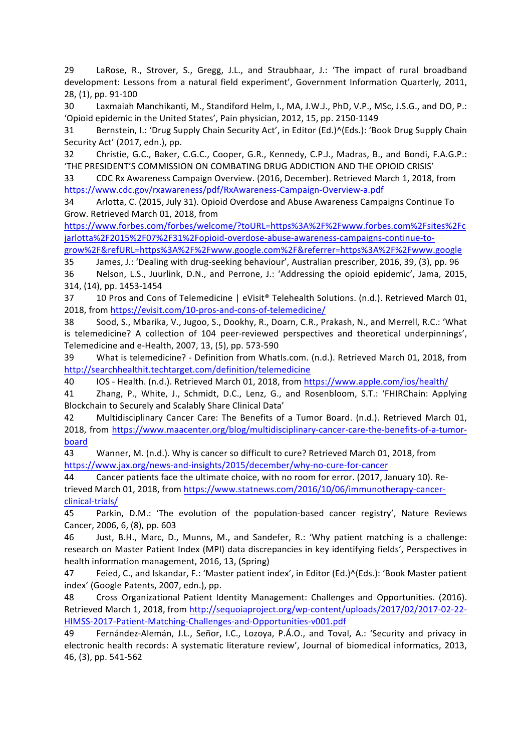29 LaRose, R., Strover, S., Gregg, J.L., and Straubhaar, J.: 'The impact of rural broadband development: Lessons from a natural field experiment', Government Information Quarterly, 2011, 28, (1), pp. 91-100

30 Laxmaiah Manchikanti, M., Standiford Helm, I., MA, J.W.J., PhD, V.P., MSc, J.S.G., and DO, P.: 'Opioid epidemic in the United States', Pain physician, 2012, 15, pp. 2150-1149

31 Bernstein, I.: 'Drug Supply Chain Security Act', in Editor (Ed.)^(Eds.): 'Book Drug Supply Chain Security Act' (2017, edn.), pp.

32 Christie, G.C., Baker, C.G.C., Cooper, G.R., Kennedy, C.P.J., Madras, B., and Bondi, F.A.G.P.: 'THE PRESIDENT'S COMMISSION ON COMBATING DRUG ADDICTION AND THE OPIOID CRISIS'

33 CDC Rx Awareness Campaign Overview. (2016, December). Retrieved March 1, 2018, from https://www.cdc.gov/rxawareness/pdf/RxAwareness-Campaign-Overview-a.pdf

34 Arlotta, C. (2015, July 31). Opioid Overdose and Abuse Awareness Campaigns Continue To Grow. Retrieved March 01, 2018, from

https://www.forbes.com/forbes/welcome/?toURL=https%3A%2F%2Fwww.forbes.com%2Fsites%2Fc jarlotta%2F2015%2F07%2F31%2Fopioid-overdose-abuse-awareness-campaigns-continue-to-

grow%2F&refURL=https%3A%2F%2Fwww.google.com%2F&referrer=https%3A%2F%2Fwww.google 35 James, J.: 'Dealing with drug-seeking behaviour', Australian prescriber, 2016, 39, (3), pp. 96

36 Nelson, L.S., Juurlink, D.N., and Perrone, J.: 'Addressing the opioid epidemic', Jama, 2015, 314, (14), pp. 1453-1454

37 10 Pros and Cons of Telemedicine | eVisit® Telehealth Solutions. (n.d.). Retrieved March 01, 2018, from https://evisit.com/10-pros-and-cons-of-telemedicine/

38 Sood, S., Mbarika, V., Jugoo, S., Dookhy, R., Doarn, C.R., Prakash, N., and Merrell, R.C.: 'What is telemedicine? A collection of 104 peer-reviewed perspectives and theoretical underpinnings', Telemedicine and e-Health, 2007, 13, (5), pp. 573-590

39 What is telemedicine? - Definition from WhatIs.com. (n.d.). Retrieved March 01, 2018, from http://searchhealthit.techtarget.com/definition/telemedicine

40 IOS - Health. (n.d.). Retrieved March 01, 2018, from https://www.apple.com/ios/health/

41 Zhang, P., White, J., Schmidt, D.C., Lenz, G., and Rosenbloom, S.T.: 'FHIRChain: Applying Blockchain to Securely and Scalably Share Clinical Data'

42 Multidisciplinary Cancer Care: The Benefits of a Tumor Board. (n.d.). Retrieved March 01, 2018, from https://www.maacenter.org/blog/multidisciplinary-cancer-care-the-benefits-of-a-tumorboard

43 Wanner, M. (n.d.). Why is cancer so difficult to cure? Retrieved March 01, 2018, from https://www.jax.org/news-and-insights/2015/december/why-no-cure-for-cancer

44 Cancer patients face the ultimate choice, with no room for error. (2017, January 10). Retrieved March 01, 2018, from https://www.statnews.com/2016/10/06/immunotherapy-cancerclinical-trials/

45 Parkin, D.M.: 'The evolution of the population-based cancer registry', Nature Reviews Cancer, 2006, 6, (8), pp. 603

46 Just, B.H., Marc, D., Munns, M., and Sandefer, R.: 'Why patient matching is a challenge: research on Master Patient Index (MPI) data discrepancies in key identifying fields', Perspectives in health information management, 2016, 13, (Spring)

47 Feied, C., and Iskandar, F.: 'Master patient index', in Editor (Ed.)^(Eds.): 'Book Master patient index' (Google Patents, 2007, edn.), pp.

48 Cross Organizational Patient Identity Management: Challenges and Opportunities. (2016). Retrieved March 1, 2018, from http://sequoiaproject.org/wp-content/uploads/2017/02/2017-02-22-HIMSS-2017-Patient-Matching-Challenges-and-Opportunities-v001.pdf

49 Fernández-Alemán, J.L., Señor, I.C., Lozoya, P.Á.O., and Toval, A.: 'Security and privacy in electronic health records: A systematic literature review', Journal of biomedical informatics, 2013, 46, (3), pp. 541-562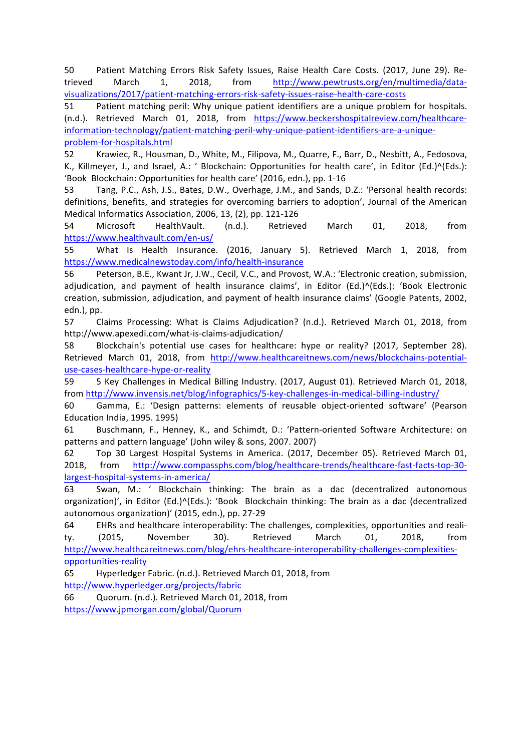50 Patient Matching Errors Risk Safety Issues, Raise Health Care Costs. (2017, June 29). Retrieved March 1, 2018, from http://www.pewtrusts.org/en/multimedia/datavisualizations/2017/patient-matching-errors-risk-safety-issues-raise-health-care-costs

51 Patient matching peril: Why unique patient identifiers are a unique problem for hospitals. (n.d.). Retrieved March 01, 2018, from https://www.beckershospitalreview.com/healthcareinformation-technology/patient-matching-peril-why-unique-patient-identifiers-are-a-uniqueproblem-for-hospitals.html

52 Krawiec, R., Housman, D., White, M., Filipova, M., Quarre, F., Barr, D., Nesbitt, A., Fedosova, K., Killmeyer, J., and Israel, A.: ' Blockchain: Opportunities for health care', in Editor (Ed.)^(Eds.): 'Book Blockchain: Opportunities for health care' (2016, edn.), pp. 1-16

53 Tang, P.C., Ash, J.S., Bates, D.W., Overhage, J.M., and Sands, D.Z.: 'Personal health records: definitions, benefits, and strategies for overcoming barriers to adoption', Journal of the American Medical Informatics Association, 2006, 13, (2), pp. 121-126

54 Microsoft HealthVault. (n.d.). Retrieved March 01, 2018, from https://www.healthvault.com/en-us/

55 What Is Health Insurance. (2016, January 5). Retrieved March 1, 2018, from https://www.medicalnewstoday.com/info/health-insurance

56 Peterson, B.E., Kwant Jr, J.W., Cecil, V.C., and Provost, W.A.: 'Electronic creation, submission, adjudication, and payment of health insurance claims', in Editor (Ed.)^(Eds.): 'Book Electronic creation, submission, adjudication, and payment of health insurance claims' (Google Patents, 2002, edn.), pp.

57 Claims Processing: What is Claims Adjudication? (n.d.). Retrieved March 01, 2018, from http://www.apexedi.com/what-is-claims-adjudication/

58 Blockchain's potential use cases for healthcare: hype or reality? (2017, September 28). Retrieved March 01, 2018, from http://www.healthcareitnews.com/news/blockchains-potentialuse-cases-healthcare-hype-or-reality

59 5 Key Challenges in Medical Billing Industry. (2017, August 01). Retrieved March 01, 2018, from http://www.invensis.net/blog/infographics/5-key-challenges-in-medical-billing-industry/

60 Gamma, E.: 'Design patterns: elements of reusable object-oriented software' (Pearson Education India, 1995, 1995)

61 Buschmann, F., Henney, K., and Schimdt, D.: 'Pattern-oriented Software Architecture: on patterns and pattern language' (John wiley & sons, 2007. 2007)

62 Top 30 Largest Hospital Systems in America. (2017, December 05). Retrieved March 01, 2018, from http://www.compassphs.com/blog/healthcare-trends/healthcare-fast-facts-top-30largest-hospital-systems-in-america/

63 Swan, M.: ' Blockchain thinking: The brain as a dac (decentralized autonomous organization)', in Editor (Ed.)^(Eds.): 'Book Blockchain thinking: The brain as a dac (decentralized autonomous organization)' (2015, edn.), pp. 27-29

64 EHRs and healthcare interoperability: The challenges, complexities, opportunities and reality. (2015, November 30). Retrieved March 01, 2018, from http://www.healthcareitnews.com/blog/ehrs-healthcare-interoperability-challenges-complexitiesopportunities-reality

65 Hyperledger Fabric. (n.d.). Retrieved March 01, 2018, from http://www.hyperledger.org/projects/fabric

66 Quorum. (n.d.). Retrieved March 01, 2018, from https://www.jpmorgan.com/global/Quorum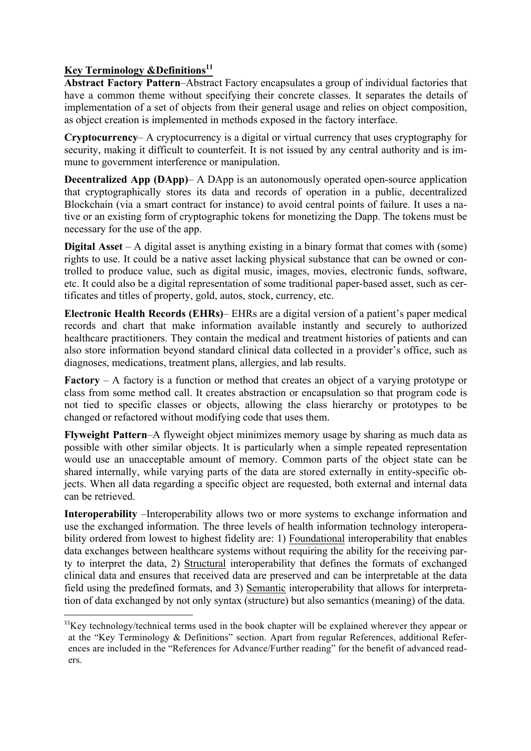# **Key Terminology &Definitions**<sup>11</sup>

<u> 1989 - Johann Barn, mars ann an t-Amhain an t-Amhain an t-Amhain an t-Amhain an t-Amhain an t-Amhain an t-Amh</u>

**Abstract Factory Pattern**–Abstract Factory encapsulates a group of individual factories that have a common theme without specifying their concrete classes. It separates the details of implementation of a set of objects from their general usage and relies on object composition, as object creation is implemented in methods exposed in the factory interface.

**Cryptocurrency**– A cryptocurrency is a digital or virtual currency that uses cryptography for security, making it difficult to counterfeit. It is not issued by any central authority and is immune to government interference or manipulation.

**Decentralized App (DApp)– A DApp is an autonomously operated open-source application** that cryptographically stores its data and records of operation in a public, decentralized Blockchain (via a smart contract for instance) to avoid central points of failure. It uses a native or an existing form of cryptographic tokens for monetizing the Dapp. The tokens must be necessary for the use of the app.

**Digital Asset** – A digital asset is anything existing in a binary format that comes with (some) rights to use. It could be a native asset lacking physical substance that can be owned or controlled to produce value, such as digital music, images, movies, electronic funds, software, etc. It could also be a digital representation of some traditional paper-based asset, such as certificates and titles of property, gold, autos, stock, currency, etc.

**Electronic Health Records (EHRs)**– EHRs are a digital version of a patient's paper medical records and chart that make information available instantly and securely to authorized healthcare practitioners. They contain the medical and treatment histories of patients and can also store information beyond standard clinical data collected in a provider's office, such as diagnoses, medications, treatment plans, allergies, and lab results.

**Factory** – A factory is a function or method that creates an object of a varying prototype or class from some method call. It creates abstraction or encapsulation so that program code is not tied to specific classes or objects, allowing the class hierarchy or prototypes to be changed or refactored without modifying code that uses them.

**Flyweight Pattern**–A flyweight object minimizes memory usage by sharing as much data as possible with other similar objects. It is particularly when a simple repeated representation would use an unacceptable amount of memory. Common parts of the object state can be shared internally, while varying parts of the data are stored externally in entity-specific objects. When all data regarding a specific object are requested, both external and internal data can be retrieved.

**Interoperability** –Interoperability allows two or more systems to exchange information and use the exchanged information. The three levels of health information technology interoperability ordered from lowest to highest fidelity are: 1) Foundational interoperability that enables data exchanges between healthcare systems without requiring the ability for the receiving party to interpret the data, 2) Structural interoperability that defines the formats of exchanged clinical data and ensures that received data are preserved and can be interpretable at the data field using the predefined formats, and 3) Semantic interoperability that allows for interpretation of data exchanged by not only syntax (structure) but also semantics (meaning) of the data.

 $11$ <sup>k</sup> Key technology/technical terms used in the book chapter will be explained wherever they appear or at the "Key Terminology & Definitions" section. Apart from regular References, additional References are included in the "References for Advance/Further reading" for the benefit of advanced readers.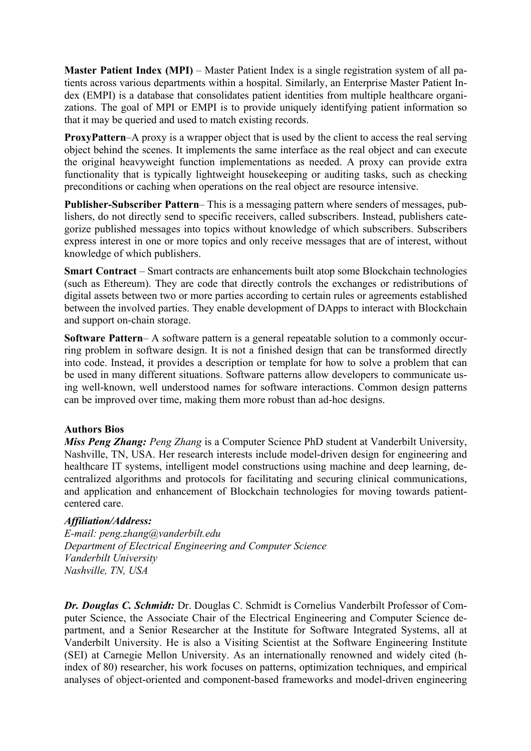**Master Patient Index (MPI)** – Master Patient Index is a single registration system of all patients across various departments within a hospital. Similarly, an Enterprise Master Patient Index (EMPI) is a database that consolidates patient identities from multiple healthcare organizations. The goal of MPI or EMPI is to provide uniquely identifying patient information so that it may be queried and used to match existing records.

**ProxyPattern**–A proxy is a wrapper object that is used by the client to access the real serving object behind the scenes. It implements the same interface as the real object and can execute the original heavyweight function implementations as needed. A proxy can provide extra functionality that is typically lightweight housekeeping or auditing tasks, such as checking preconditions or caching when operations on the real object are resource intensive.

**Publisher-Subscriber Pattern**– This is a messaging pattern where senders of messages, publishers, do not directly send to specific receivers, called subscribers. Instead, publishers categorize published messages into topics without knowledge of which subscribers. Subscribers express interest in one or more topics and only receive messages that are of interest, without knowledge of which publishers.

**Smart Contract** – Smart contracts are enhancements built atop some Blockchain technologies (such as Ethereum). They are code that directly controls the exchanges or redistributions of digital assets between two or more parties according to certain rules or agreements established between the involved parties. They enable development of DApps to interact with Blockchain and support on-chain storage.

**Software Pattern**– A software pattern is a general repeatable solution to a commonly occurring problem in software design. It is not a finished design that can be transformed directly into code. Instead, it provides a description or template for how to solve a problem that can be used in many different situations. Software patterns allow developers to communicate using well-known, well understood names for software interactions. Common design patterns can be improved over time, making them more robust than ad-hoc designs.

### **Authors Bios**

*Miss Peng Zhang: Peng Zhang* is a Computer Science PhD student at Vanderbilt University, Nashville, TN, USA. Her research interests include model-driven design for engineering and healthcare IT systems, intelligent model constructions using machine and deep learning, decentralized algorithms and protocols for facilitating and securing clinical communications, and application and enhancement of Blockchain technologies for moving towards patientcentered care.

## *Affiliation/Address:*

*E-mail: peng.zhang@vanderbilt.edu Department of Electrical Engineering and Computer Science Vanderbilt University Nashville, TN, USA*

*Dr. Douglas C. Schmidt:* Dr. Douglas C. Schmidt is Cornelius Vanderbilt Professor of Computer Science, the Associate Chair of the Electrical Engineering and Computer Science department, and a Senior Researcher at the Institute for Software Integrated Systems, all at Vanderbilt University. He is also a Visiting Scientist at the Software Engineering Institute (SEI) at Carnegie Mellon University. As an internationally renowned and widely cited (hindex of 80) researcher, his work focuses on patterns, optimization techniques, and empirical analyses of object-oriented and component-based frameworks and model-driven engineering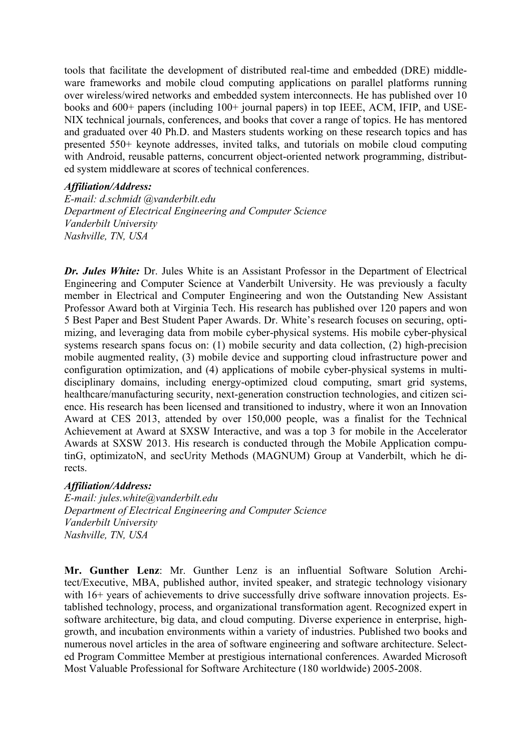tools that facilitate the development of distributed real-time and embedded (DRE) middleware frameworks and mobile cloud computing applications on parallel platforms running over wireless/wired networks and embedded system interconnects. He has published over 10 books and 600+ papers (including 100+ journal papers) in top IEEE, ACM, IFIP, and USE-NIX technical journals, conferences, and books that cover a range of topics. He has mentored and graduated over 40 Ph.D. and Masters students working on these research topics and has presented 550+ keynote addresses, invited talks, and tutorials on mobile cloud computing with Android, reusable patterns, concurrent object-oriented network programming, distributed system middleware at scores of technical conferences.

#### *Affiliation/Address:*

*E-mail: d.schmidt @vanderbilt.edu Department of Electrical Engineering and Computer Science Vanderbilt University Nashville, TN, USA*

*Dr. Jules White:* Dr. Jules White is an Assistant Professor in the Department of Electrical Engineering and Computer Science at Vanderbilt University. He was previously a faculty member in Electrical and Computer Engineering and won the Outstanding New Assistant Professor Award both at Virginia Tech. His research has published over 120 papers and won 5 Best Paper and Best Student Paper Awards. Dr. White's research focuses on securing, optimizing, and leveraging data from mobile cyber-physical systems. His mobile cyber-physical systems research spans focus on: (1) mobile security and data collection, (2) high-precision mobile augmented reality, (3) mobile device and supporting cloud infrastructure power and configuration optimization, and (4) applications of mobile cyber-physical systems in multidisciplinary domains, including energy-optimized cloud computing, smart grid systems, healthcare/manufacturing security, next-generation construction technologies, and citizen science. His research has been licensed and transitioned to industry, where it won an Innovation Award at CES 2013, attended by over 150,000 people, was a finalist for the Technical Achievement at Award at SXSW Interactive, and was a top 3 for mobile in the Accelerator Awards at SXSW 2013. His research is conducted through the Mobile Application computinG, optimizatoN, and secUrity Methods (MAGNUM) Group at Vanderbilt, which he directs.

#### *Affiliation/Address:*

*E-mail: jules.white@vanderbilt.edu Department of Electrical Engineering and Computer Science Vanderbilt University Nashville, TN, USA*

**Mr. Gunther Lenz**: Mr. Gunther Lenz is an influential Software Solution Architect/Executive, MBA, published author, invited speaker, and strategic technology visionary with 16+ years of achievements to drive successfully drive software innovation projects. Established technology, process, and organizational transformation agent. Recognized expert in software architecture, big data, and cloud computing. Diverse experience in enterprise, highgrowth, and incubation environments within a variety of industries. Published two books and numerous novel articles in the area of software engineering and software architecture. Selected Program Committee Member at prestigious international conferences. Awarded Microsoft Most Valuable Professional for Software Architecture (180 worldwide) 2005-2008.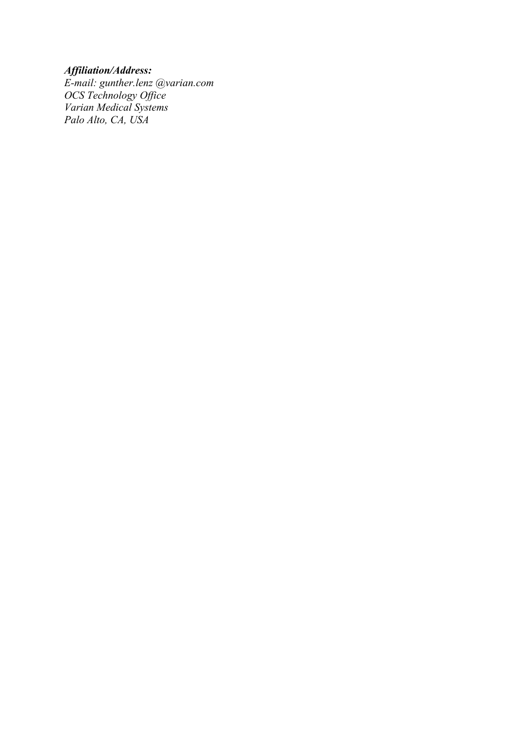#### *Affiliation/Address:*

*E-mail: gunther.lenz @varian.com OCS Technology Office Varian Medical Systems Palo Alto, CA, USA*